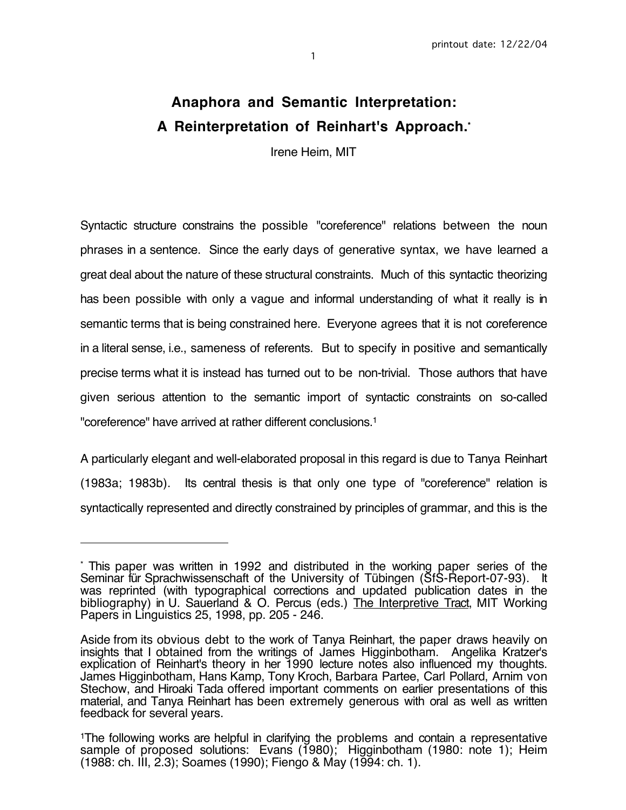# **Anaphora and Semantic Interpretation: A Reinterpretation of Reinhart's Approach.\***

Irene Heim, MIT

Syntactic structure constrains the possible "coreference" relations between the noun phrases in a sentence. Since the early days of generative syntax, we have learned a great deal about the nature of these structural constraints. Much of this syntactic theorizing has been possible with only a vague and informal understanding of what it really is in semantic terms that is being constrained here. Everyone agrees that it is not coreference in a literal sense, i.e., sameness of referents. But to specify in positive and semantically precise terms what it is instead has turned out to be non-trivial. Those authors that have given serious attention to the semantic import of syntactic constraints on so-called "coreference" have arrived at rather different conclusions.1

A particularly elegant and well-elaborated proposal in this regard is due to Tanya Reinhart (1983a; 1983b). Its central thesis is that only one type of "coreference" relation is syntactically represented and directly constrained by principles of grammar, and this is the

 $\overline{a}$ 

<sup>\*</sup> This paper was written in 1992 and distributed in the working paper series of the Seminar für Sprachwissenschaft of the University of Tübingen (SfS-Report-07-93). It was reprinted (with typographical corrections and updated publication dates in the bibliography) in U. Sauerland & O. Percus (eds.) The Interpretive Tract, MIT Working Papers in Linguistics 25, 1998, pp. 205 - 246.

Aside from its obvious debt to the work of Tanya Reinhart, the paper draws heavily on insights that I obtained from the writings of James Higginbotham. Angelika Kratzer's explication of Reinhart's theory in her 1990 lecture notes also influenced my thoughts. James Higginbotham, Hans Kamp, Tony Kroch, Barbara Partee, Carl Pollard, Arnim von Stechow, and Hiroaki Tada offered important comments on earlier presentations of this material, and Tanya Reinhart has been extremely generous with oral as well as written feedback for several years.

<sup>1</sup>The following works are helpful in clarifying the problems and contain a representative sample of proposed solutions: Evans (1980); Higginbotham (1980: note 1); Heim (1988: ch. III, 2.3); Soames (1990); Fiengo & May (1994: ch. 1).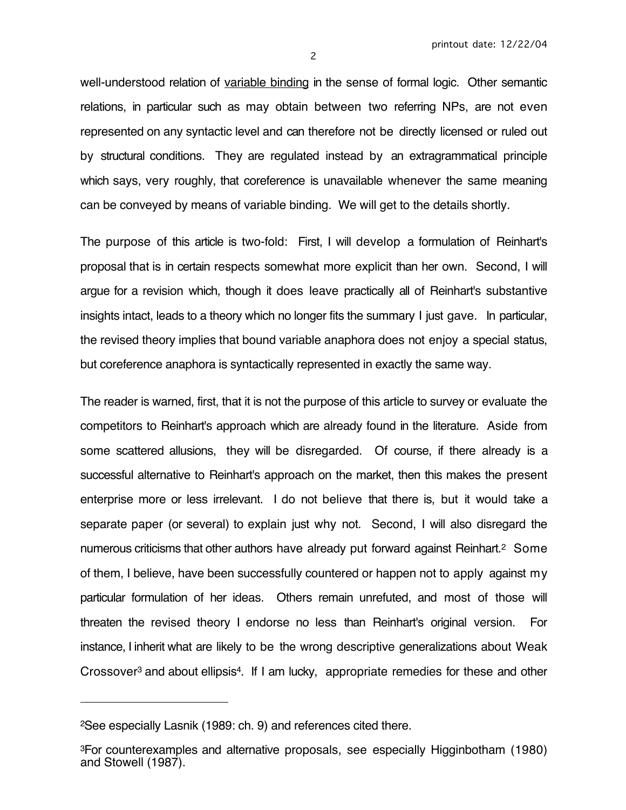well-understood relation of variable binding in the sense of formal logic. Other semantic relations, in particular such as may obtain between two referring NPs, are not even represented on any syntactic level and can therefore not be directly licensed or ruled out by structural conditions. They are regulated instead by an extragrammatical principle which says, very roughly, that coreference is unavailable whenever the same meaning can be conveyed by means of variable binding. We will get to the details shortly.

The purpose of this article is two-fold: First, I will develop a formulation of Reinhart's proposal that is in certain respects somewhat more explicit than her own. Second, I will argue for a revision which, though it does leave practically all of Reinhart's substantive insights intact, leads to a theory which no longer fits the summary I just gave. In particular, the revised theory implies that bound variable anaphora does not enjoy a special status, but coreference anaphora is syntactically represented in exactly the same way.

The reader is warned, first, that it is not the purpose of this article to survey or evaluate the competitors to Reinhart's approach which are already found in the literature. Aside from some scattered allusions, they will be disregarded. Of course, if there already is a successful alternative to Reinhart's approach on the market, then this makes the present enterprise more or less irrelevant. I do not believe that there is, but it would take a separate paper (or several) to explain just why not. Second, I will also disregard the numerous criticisms that other authors have already put forward against Reinhart.2 Some of them, I believe, have been successfully countered or happen not to apply against my particular formulation of her ideas. Others remain unrefuted, and most of those will threaten the revised theory I endorse no less than Reinhart's original version. For instance, I inherit what are likely to be the wrong descriptive generalizations about Weak Crossover3 and about ellipsis4. If I am lucky, appropriate remedies for these and other

 $\overline{a}$ 

<sup>2</sup>See especially Lasnik (1989: ch. 9) and references cited there.

<sup>3</sup>For counterexamples and alternative proposals, see especially Higginbotham (1980) and Stowell (1987).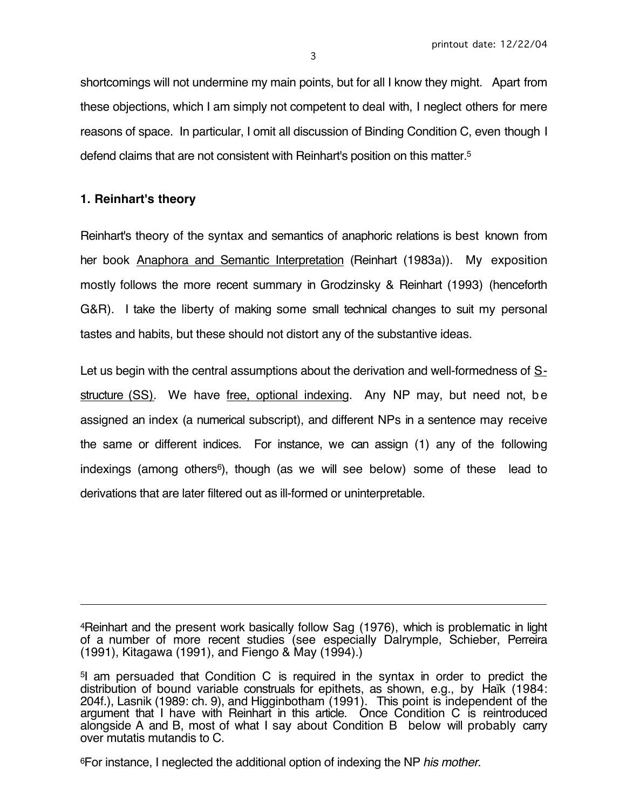shortcomings will not undermine my main points, but for all I know they might. Apart from these objections, which I am simply not competent to deal with, I neglect others for mere reasons of space. In particular, I omit all discussion of Binding Condition C, even though I defend claims that are not consistent with Reinhart's position on this matter.5

## **1. Reinhart's theory**

 $\overline{a}$ 

Reinhart's theory of the syntax and semantics of anaphoric relations is best known from her book Anaphora and Semantic Interpretation (Reinhart (1983a)). My exposition mostly follows the more recent summary in Grodzinsky & Reinhart (1993) (henceforth G&R). I take the liberty of making some small technical changes to suit my personal tastes and habits, but these should not distort any of the substantive ideas.

Let us begin with the central assumptions about the derivation and well-formedness of  $S$ structure (SS). We have free, optional indexing. Any NP may, but need not, be assigned an index (a numerical subscript), and different NPs in a sentence may receive the same or different indices. For instance, we can assign (1) any of the following indexings (among others<sup>6</sup>), though (as we will see below) some of these lead to derivations that are later filtered out as ill-formed or uninterpretable.

4Reinhart and the present work basically follow Sag (1976), which is problematic in light of a number of more recent studies (see especially Dalrymple, Schieber, Perreira (1991), Kitagawa (1991), and Fiengo & May (1994).)

6For instance, I neglected the additional option of indexing the NP his mother.

<sup>5</sup>I am persuaded that Condition C is required in the syntax in order to predict the distribution of bound variable construals for epithets, as shown, e.g., by Haïk (1984: 204f.), Lasnik (1989: ch. 9), and Higginbotham (1991). This point is independent of the argument that I have with Reinhart in this article. Once Condition C is reintroduced alongside A and B, most of what I say about Condition B below will probably carry over mutatis mutandis to C.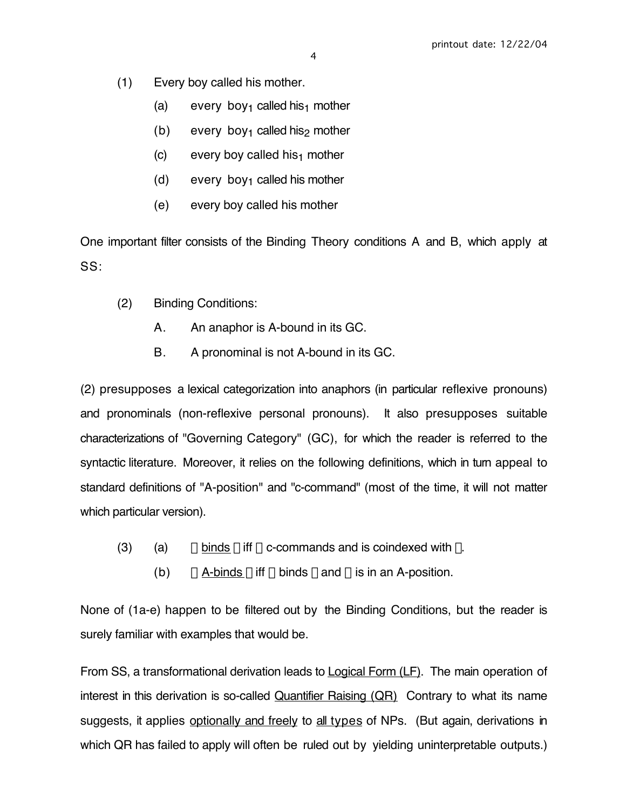- (1) Every boy called his mother.
	- (a) every boy<sub>1</sub> called his<sub>1</sub> mother
	- (b) every boy<sub>1</sub> called his<sub>2</sub> mother
	- (c) every boy called his<sub>1</sub> mother
	- (d) every boy<sub>1</sub> called his mother
	- (e) every boy called his mother

One important filter consists of the Binding Theory conditions A and B, which apply at SS:

- (2) Binding Conditions:
	- A. An anaphor is A-bound in its GC.
	- B. A pronominal is not A-bound in its GC.

(2) presupposes a lexical categorization into anaphors (in particular reflexive pronouns) and pronominals (non-reflexive personal pronouns). It also presupposes suitable characterizations of "Governing Category" (GC), for which the reader is referred to the syntactic literature. Moreover, it relies on the following definitions, which in turn appeal to standard definitions of "A-position" and "c-command" (most of the time, it will not matter which particular version).

- (3) (a)  $\alpha$  binds  $\beta$  iff  $\alpha$  c-commands and is coindexed with  $\beta$ .
	- (b)  $\alpha$  A-binds  $\beta$  iff  $\alpha$  binds  $\beta$  and  $\alpha$  is in an A-position.

None of (1a-e) happen to be filtered out by the Binding Conditions, but the reader is surely familiar with examples that would be.

From SS, a transformational derivation leads to **Logical Form (LF)**. The main operation of interest in this derivation is so-called  $Quantifier$  Raising  $(QR)$  Contrary to what its name suggests, it applies optionally and freely to all types of NPs. (But again, derivations in which QR has failed to apply will often be ruled out by yielding uninterpretable outputs.)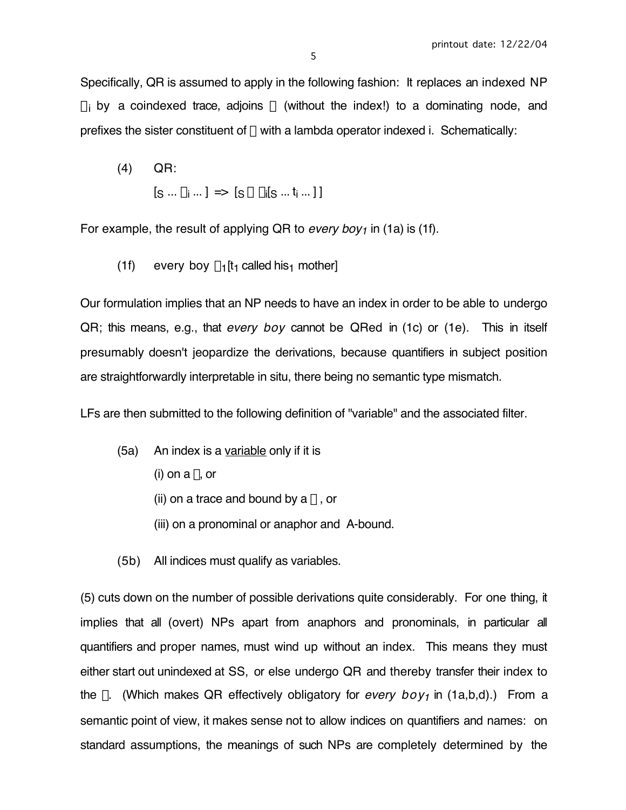Specifically, QR is assumed to apply in the following fashion: It replaces an indexed NP  $\alpha_i$  by a coindexed trace, adjoins  $\alpha$  (without the index!) to a dominating node, and prefixes the sister constituent of  $\alpha$  with a lambda operator indexed i. Schematically:

(4) QR:  $[\mathsf{s} \mathrel{{\ldots}} \alpha_! \mathrel{{\ldots}}] \Rightarrow [\mathsf{s} \mathrel{\alpha} \lambda_i[\mathsf{s} \mathrel{{\ldots}} \mathsf{t}_i \mathrel{{\ldots}}] \,]$ 

For example, the result of applying QR to every boy<sub>1</sub> in (1a) is (1f).

(1f) every boy  $\lambda_1$ [t<sub>1</sub> called his<sub>1</sub> mother]

Our formulation implies that an NP needs to have an index in order to be able to undergo QR; this means, e.g., that every boy cannot be QRed in (1c) or (1e). This in itself presumably doesn't jeopardize the derivations, because quantifiers in subject position are straightforwardly interpretable in situ, there being no semantic type mismatch.

LFs are then submitted to the following definition of "variable" and the associated filter.

- (5a) An index is a variable only if it is
	- (i) on a  $\lambda$ , or
	- (ii) on a trace and bound by a  $\lambda$ , or
	- (iii) on a pronominal or anaphor and A-bound.
- (5b) All indices must qualify as variables.

(5) cuts down on the number of possible derivations quite considerably. For one thing, it implies that all (overt) NPs apart from anaphors and pronominals, in particular all quantifiers and proper names, must wind up without an index. This means they must either start out unindexed at SS, or else undergo QR and thereby transfer their index to the  $\lambda$ . (Which makes QR effectively obligatory for *every boy<sub>1</sub>* in (1a,b,d).) From a semantic point of view, it makes sense not to allow indices on quantifiers and names: on standard assumptions, the meanings of such NPs are completely determined by the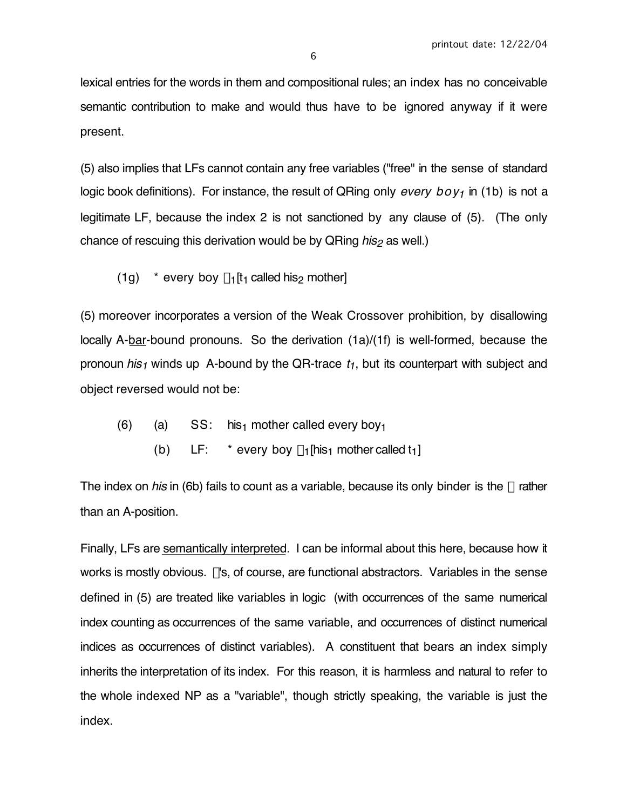lexical entries for the words in them and compositional rules; an index has no conceivable semantic contribution to make and would thus have to be ignored anyway if it were present.

(5) also implies that LFs cannot contain any free variables ("free" in the sense of standard logic book definitions). For instance, the result of QRing only every  $boy_1$  in (1b) is not a legitimate LF, because the index 2 is not sanctioned by any clause of (5). (The only chance of rescuing this derivation would be by  $\alpha$ Ring *his<sub>2</sub>* as well.)

(1g)  $*$  every boy  $\lambda_1[t_1 \text{ called his}_2 \text{ mother}]$ 

(5) moreover incorporates a version of the Weak Crossover prohibition, by disallowing locally A-bar-bound pronouns. So the derivation (1a)/(1f) is well-formed, because the pronoun his<sub>1</sub> winds up A-bound by the QR-trace  $t_1$ , but its counterpart with subject and object reversed would not be:

- (6) (a)  $SS:$  his<sub>1</sub> mother called every boy<sub>1</sub>
	- (b) LF: \* every boy  $\lambda_1$ [his<sub>1</sub> mother called t<sub>1</sub>]

The index on his in (6b) fails to count as a variable, because its only binder is the  $\lambda$  rather than an A-position.

Finally, LFs are semantically interpreted. I can be informal about this here, because how it works is mostly obvious.  $\lambda$ 's, of course, are functional abstractors. Variables in the sense defined in (5) are treated like variables in logic (with occurrences of the same numerical index counting as occurrences of the same variable, and occurrences of distinct numerical indices as occurrences of distinct variables). A constituent that bears an index simply inherits the interpretation of its index. For this reason, it is harmless and natural to refer to the whole indexed NP as a "variable", though strictly speaking, the variable is just the index.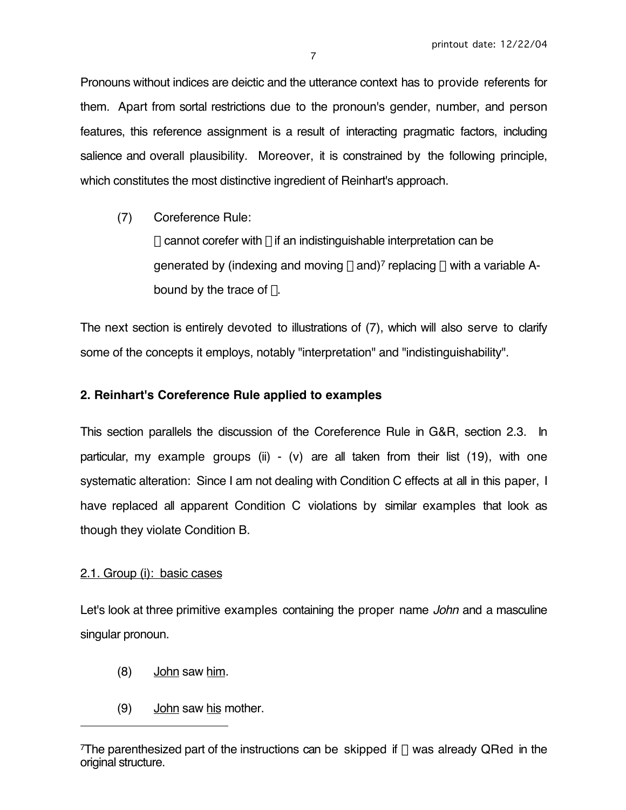Pronouns without indices are deictic and the utterance context has to provide referents for them. Apart from sortal restrictions due to the pronoun's gender, number, and person features, this reference assignment is a result of interacting pragmatic factors, including salience and overall plausibility. Moreover, it is constrained by the following principle, which constitutes the most distinctive ingredient of Reinhart's approach.

(7) Coreference Rule:  $\alpha$  cannot corefer with  $\beta$  if an indistinguishable interpretation can be generated by (indexing and moving  $\beta$  and)<sup>7</sup> replacing  $\alpha$  with a variable Abound by the trace of  $\beta$ .

The next section is entirely devoted to illustrations of (7), which will also serve to clarify some of the concepts it employs, notably "interpretation" and "indistinguishability".

# **2. Reinhart's Coreference Rule applied to examples**

This section parallels the discussion of the Coreference Rule in G&R, section 2.3. In particular, my example groups (ii) - (v) are all taken from their list (19), with one systematic alteration: Since I am not dealing with Condition C effects at all in this paper, I have replaced all apparent Condition C violations by similar examples that look as though they violate Condition B.

# 2.1. Group (i): basic cases

 $\overline{a}$ 

Let's look at three primitive examples containing the proper name John and a masculine singular pronoun.

- (8) John saw him.
- (9) John saw his mother.

The parenthesized part of the instructions can be skipped if  $\beta$  was already QRed in the original structure.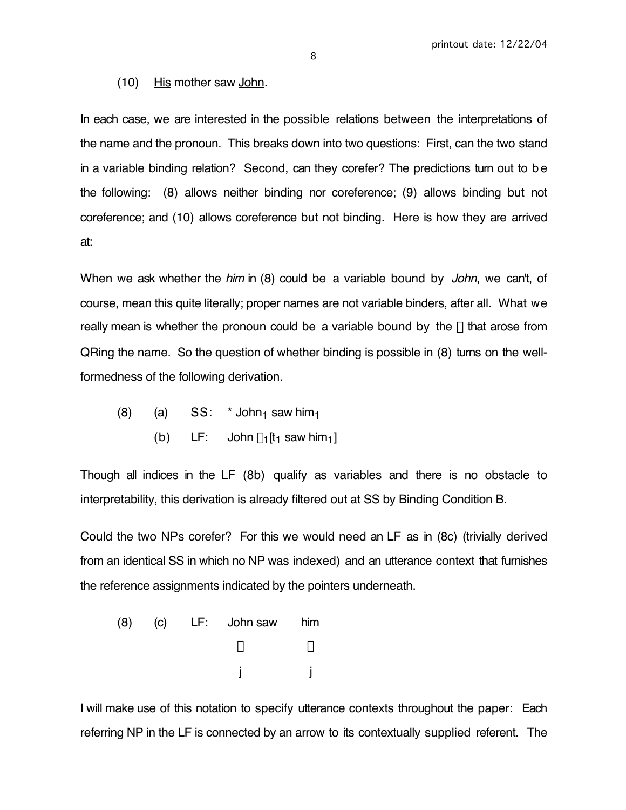(10) His mother saw John.

In each case, we are interested in the possible relations between the interpretations of the name and the pronoun. This breaks down into two questions: First, can the two stand in a variable binding relation? Second, can they corefer? The predictions turn out to be the following: (8) allows neither binding nor coreference; (9) allows binding but not coreference; and (10) allows coreference but not binding. Here is how they are arrived at:

When we ask whether the him in (8) could be a variable bound by John, we can't, of course, mean this quite literally; proper names are not variable binders, after all. What we really mean is whether the pronoun could be a variable bound by the  $\lambda$  that arose from QRing the name. So the question of whether binding is possible in (8) turns on the wellformedness of the following derivation.

- (8) (a)  $SS: * John<sub>1</sub> saw him<sub>1</sub>$ 
	- (b) LF: John  $\lambda_1$ [t<sub>1</sub> saw him<sub>1</sub>]

Though all indices in the LF (8b) qualify as variables and there is no obstacle to interpretability, this derivation is already filtered out at SS by Binding Condition B.

Could the two NPs corefer? For this we would need an LF as in (8c) (trivially derived from an identical SS in which no NP was indexed) and an utterance context that furnishes the reference assignments indicated by the pointers underneath.

(8) (c) LF: John saw him  $\downarrow$ j j

I will make use of this notation to specify utterance contexts throughout the paper: Each referring NP in the LF is connected by an arrow to its contextually supplied referent. The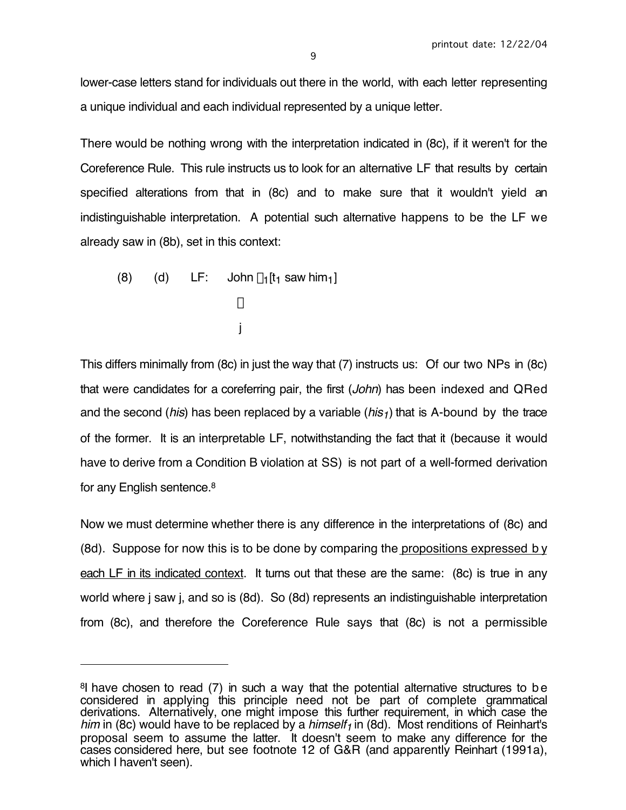lower-case letters stand for individuals out there in the world, with each letter representing a unique individual and each individual represented by a unique letter.

There would be nothing wrong with the interpretation indicated in (8c), if it weren't for the Coreference Rule. This rule instructs us to look for an alternative LF that results by certain specified alterations from that in (8c) and to make sure that it wouldn't yield an indistinguishable interpretation. A potential such alternative happens to be the LF we already saw in (8b), set in this context:

(8) (d) LF: John 
$$
\lambda_1[t_1 \text{ saw him}_1]
$$
  
\n $\downarrow$   
\nj

 $\overline{a}$ 

This differs minimally from (8c) in just the way that (7) instructs us: Of our two NPs in (8c) that were candidates for a coreferring pair, the first (John) has been indexed and QRed and the second (*his*) has been replaced by a variable (*his<sub>1</sub>*) that is A-bound by the trace of the former. It is an interpretable LF, notwithstanding the fact that it (because it would have to derive from a Condition B violation at SS) is not part of a well-formed derivation for any English sentence.8

Now we must determine whether there is any difference in the interpretations of (8c) and (8d). Suppose for now this is to be done by comparing the propositions expressed by each LF in its indicated context. It turns out that these are the same: (8c) is true in any world where j saw j, and so is (8d). So (8d) represents an indistinguishable interpretation from (8c), and therefore the Coreference Rule says that (8c) is not a permissible

<sup>8</sup>I have chosen to read (7) in such a way that the potential alternative structures to be considered in applying this principle need not be part of complete grammatical derivations. Alternatively, one might impose this further requirement, in which case the him in (8c) would have to be replaced by a himself<sub>1</sub> in (8d). Most renditions of Reinhart's proposal seem to assume the latter. It doesn't seem to make any difference for the cases considered here, but see footnote 12 of G&R (and apparently Reinhart (1991a), which I haven't seen).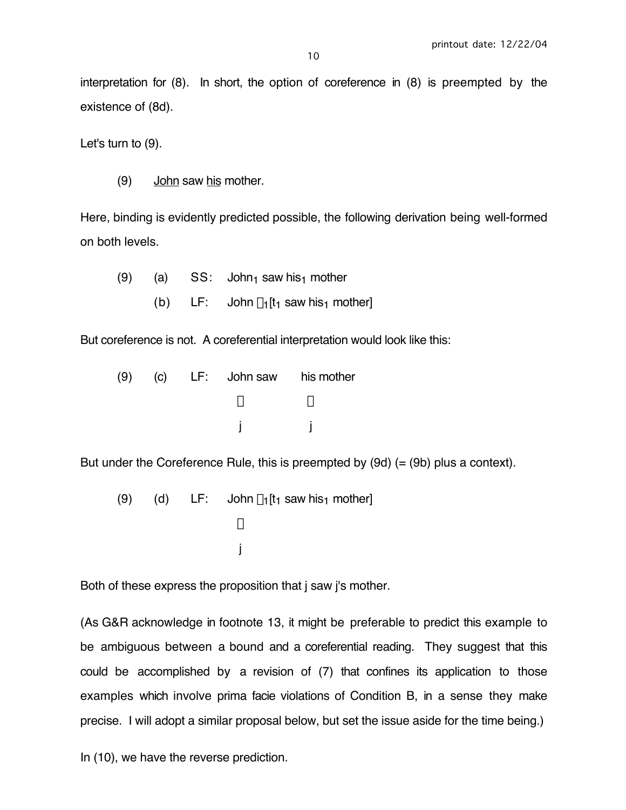interpretation for (8). In short, the option of coreference in (8) is preempted by the existence of (8d).

Let's turn to (9).

(9) John saw his mother.

Here, binding is evidently predicted possible, the following derivation being well-formed on both levels.

(9) (a)  $SS:$  John<sub>1</sub> saw his<sub>1</sub> mother (b) LF: John  $\lambda_1[t_1]$  saw his<sub>1</sub> mother]

But coreference is not. A coreferential interpretation would look like this:

| (9) |  | (c) LF: John saw his mother |  |
|-----|--|-----------------------------|--|
|     |  |                             |  |
|     |  |                             |  |

But under the Coreference Rule, this is preempted by  $(9d)$  (=  $(9b)$  plus a context).

(9) (d) LF: John 
$$
\lambda_1[t_1 \text{ saw his}_1 \text{ mother}]
$$
  
\n $\downarrow$ 

Both of these express the proposition that *i* saw *i's* mother.

(As G&R acknowledge in footnote 13, it might be preferable to predict this example to be ambiguous between a bound and a coreferential reading. They suggest that this could be accomplished by a revision of (7) that confines its application to those examples which involve prima facie violations of Condition B, in a sense they make precise. I will adopt a similar proposal below, but set the issue aside for the time being.)

In (10), we have the reverse prediction.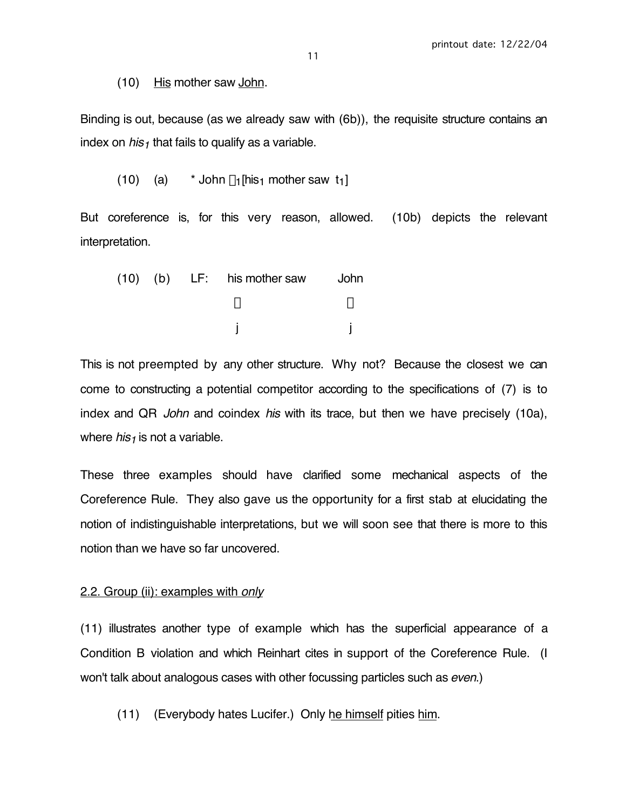(10) His mother saw John.

Binding is out, because (as we already saw with (6b)), the requisite structure contains an index on  $his<sub>1</sub>$  that fails to qualify as a variable.

(10) (a)  $*$  John  $\lambda_1$ [his<sub>1</sub> mother saw t<sub>1</sub>]

But coreference is, for this very reason, allowed. (10b) depicts the relevant interpretation.

|  | $(10)$ $(b)$ LF: his mother saw | <b>John</b> |
|--|---------------------------------|-------------|
|  |                                 |             |
|  |                                 |             |

This is not preempted by any other structure. Why not? Because the closest we can come to constructing a potential competitor according to the specifications of (7) is to index and QR John and coindex his with its trace, but then we have precisely (10a), where  $his<sub>1</sub>$  is not a variable.

These three examples should have clarified some mechanical aspects of the Coreference Rule. They also gave us the opportunity for a first stab at elucidating the notion of indistinguishable interpretations, but we will soon see that there is more to this notion than we have so far uncovered.

#### 2.2. Group (ii): examples with only

(11) illustrates another type of example which has the superficial appearance of a Condition B violation and which Reinhart cites in support of the Coreference Rule. (I won't talk about analogous cases with other focussing particles such as even.)

(11) (Everybody hates Lucifer.) Only he himself pities him.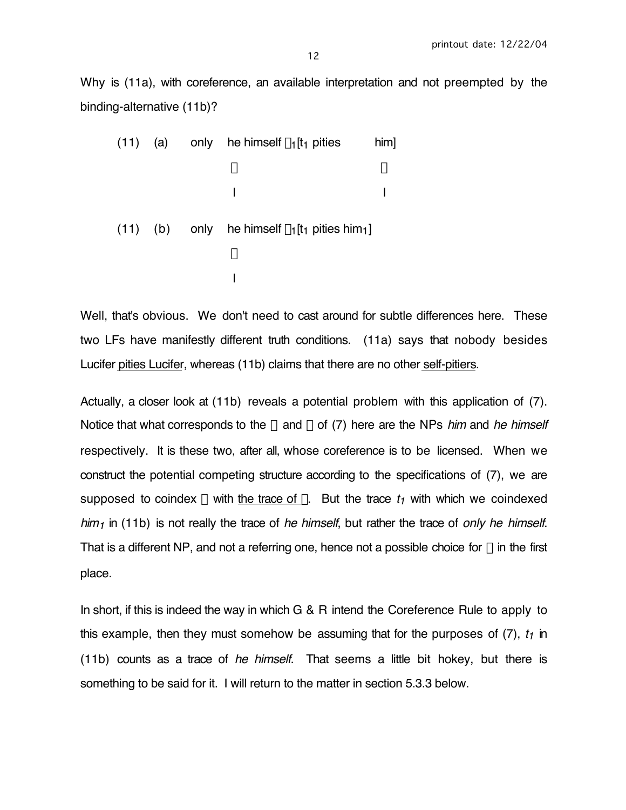Why is (11a), with coreference, an available interpretation and not preempted by the binding-alternative (11b)?

| (11) |              | (a) only he himself $\lambda_1$ [t <sub>1</sub> pities                | him <sub>l</sub> |
|------|--------------|-----------------------------------------------------------------------|------------------|
|      |              |                                                                       |                  |
|      |              |                                                                       |                  |
|      | $(11)$ $(b)$ | only he himself $\lambda_1$ [t <sub>1</sub> pities him <sub>1</sub> ] |                  |
|      |              |                                                                       |                  |
|      |              |                                                                       |                  |

Well, that's obvious. We don't need to cast around for subtle differences here. These two LFs have manifestly different truth conditions. (11a) says that nobody besides Lucifer pities Lucifer, whereas (11b) claims that there are no other self-pitiers.

Actually, a closer look at (11b) reveals a potential problem with this application of (7). Notice that what corresponds to the  $\alpha$  and  $\beta$  of (7) here are the NPs him and he himself respectively. It is these two, after all, whose coreference is to be licensed. When we construct the potential competing structure according to the specifications of (7), we are supposed to coindex  $\alpha$  with the trace of  $\beta$ . But the trace  $t_1$  with which we coindexed  $h/m<sub>1</sub>$  in (11b) is not really the trace of he himself, but rather the trace of only he himself. That is a different NP, and not a referring one, hence not a possible choice for  $\beta$  in the first place.

In short, if this is indeed the way in which G & R intend the Coreference Rule to apply to this example, then they must somehow be assuming that for the purposes of  $(7)$ ,  $t_1$  in (11b) counts as a trace of he himself. That seems a little bit hokey, but there is something to be said for it. I will return to the matter in section 5.3.3 below.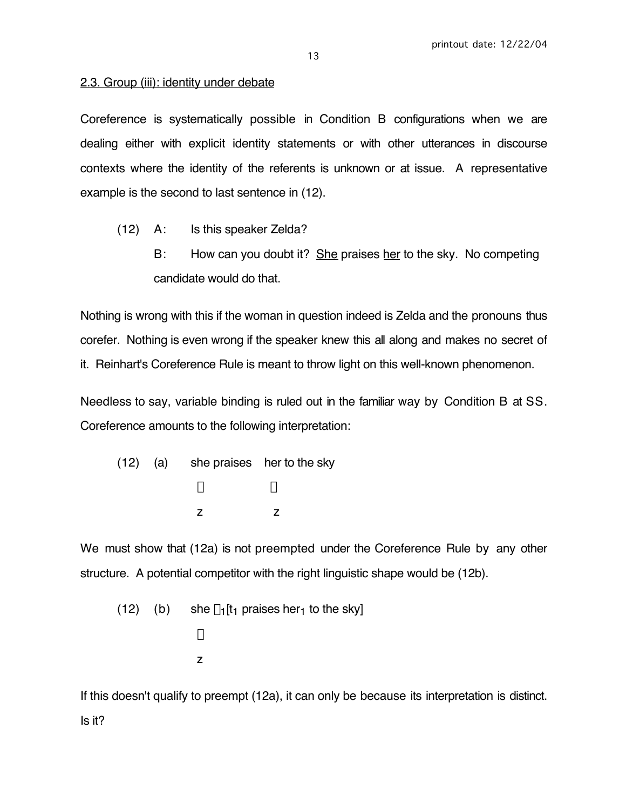### 2.3. Group (iii): identity under debate

Coreference is systematically possible in Condition B configurations when we are dealing either with explicit identity statements or with other utterances in discourse contexts where the identity of the referents is unknown or at issue. A representative example is the second to last sentence in (12).

- (12) A: Is this speaker Zelda?
	- B: How can you doubt it? She praises her to the sky. No competing candidate would do that.

Nothing is wrong with this if the woman in question indeed is Zelda and the pronouns thus corefer. Nothing is even wrong if the speaker knew this all along and makes no secret of it. Reinhart's Coreference Rule is meant to throw light on this well-known phenomenon.

Needless to say, variable binding is ruled out in the familiar way by Condition B at SS. Coreference amounts to the following interpretation:

(12) (a) she praises her to the sky  $\downarrow$ z z

We must show that (12a) is not preempted under the Coreference Rule by any other structure. A potential competitor with the right linguistic shape would be (12b).

(12) (b) she 
$$
\lambda_1[t_1 \text{ praises her}_1 \text{ to the sky}]
$$
  
\n $\downarrow$   
\n $z$ 

If this doesn't qualify to preempt (12a), it can only be because its interpretation is distinct. Is it?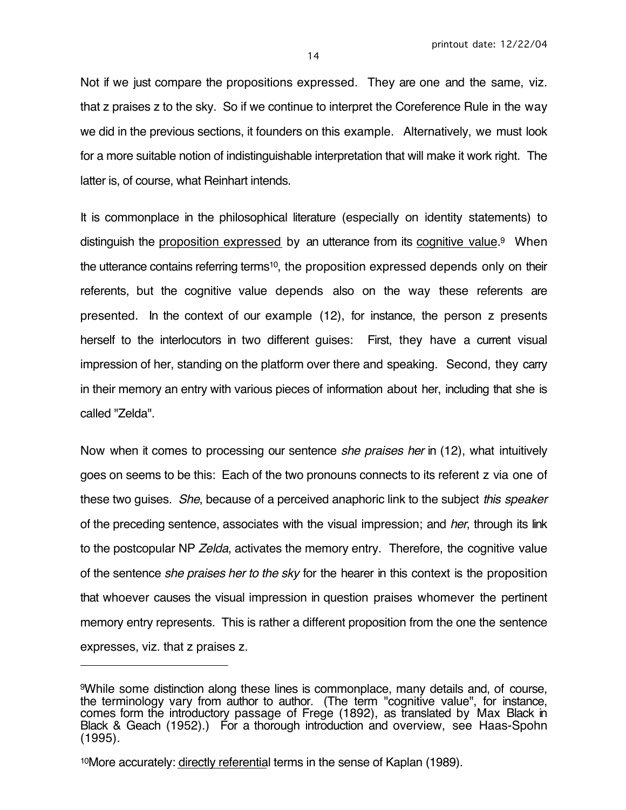Not if we just compare the propositions expressed. They are one and the same, viz. that z praises z to the sky. So if we continue to interpret the Coreference Rule in the way we did in the previous sections, it founders on this example. Alternatively, we must look for a more suitable notion of indistinguishable interpretation that will make it work right. The latter is, of course, what Reinhart intends.

It is commonplace in the philosophical literature (especially on identity statements) to distinguish the proposition expressed by an utterance from its cognitive value.<sup>9</sup> When the utterance contains referring terms10, the proposition expressed depends only on their referents, but the cognitive value depends also on the way these referents are presented. In the context of our example (12), for instance, the person z presents herself to the interlocutors in two different guises: First, they have a current visual impression of her, standing on the platform over there and speaking. Second, they carry in their memory an entry with various pieces of information about her, including that she is called "Zelda".

Now when it comes to processing our sentence *she praises her* in (12), what intuitively goes on seems to be this: Each of the two pronouns connects to its referent z via one of these two guises. She, because of a perceived anaphoric link to the subject this speaker of the preceding sentence, associates with the visual impression; and *her*, through its link to the postcopular NP Zelda, activates the memory entry. Therefore, the cognitive value of the sentence she praises her to the sky for the hearer in this context is the proposition that whoever causes the visual impression in question praises whomever the pertinent memory entry represents. This is rather a different proposition from the one the sentence expresses, viz. that z praises z.

 $\overline{a}$ 

<sup>9</sup>While some distinction along these lines is commonplace, many details and, of course, the terminology vary from author to author. (The term "cognitive value", for instance, comes form the introductory passage of Frege (1892), as translated by Max Black in Black & Geach (1952).) For a thorough introduction and overview, see Haas-Spohn (1995).

<sup>10</sup>More accurately: directly referential terms in the sense of Kaplan (1989).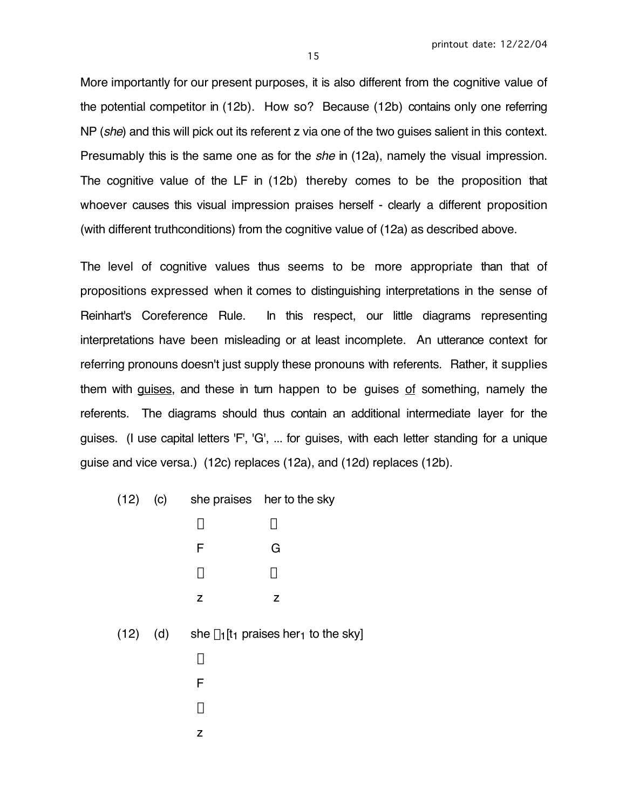More importantly for our present purposes, it is also different from the cognitive value of the potential competitor in (12b). How so? Because (12b) contains only one referring NP (she) and this will pick out its referent z via one of the two quises salient in this context. Presumably this is the same one as for the *she* in (12a), namely the visual impression. The cognitive value of the LF in (12b) thereby comes to be the proposition that whoever causes this visual impression praises herself - clearly a different proposition (with different truthconditions) from the cognitive value of (12a) as described above.

The level of cognitive values thus seems to be more appropriate than that of propositions expressed when it comes to distinguishing interpretations in the sense of Reinhart's Coreference Rule. In this respect, our little diagrams representing interpretations have been misleading or at least incomplete. An utterance context for referring pronouns doesn't just supply these pronouns with referents. Rather, it supplies them with guises, and these in turn happen to be guises of something, namely the referents. The diagrams should thus contain an additional intermediate layer for the guises. (I use capital letters 'F', 'G', ... for guises, with each letter standing for a unique guise and vice versa.) (12c) replaces (12a), and (12d) replaces (12b).

| (12)<br>(C) |  | she praises |  | her to the sky |
|-------------|--|-------------|--|----------------|
|-------------|--|-------------|--|----------------|

| ↓            |
|--------------|
| G            |
| $\downarrow$ |
| Z            |
|              |

(12) (d) she  $\lambda_1$ [t<sub>1</sub> praises her<sub>1</sub> to the sky]

- $\downarrow$  F Ø
- z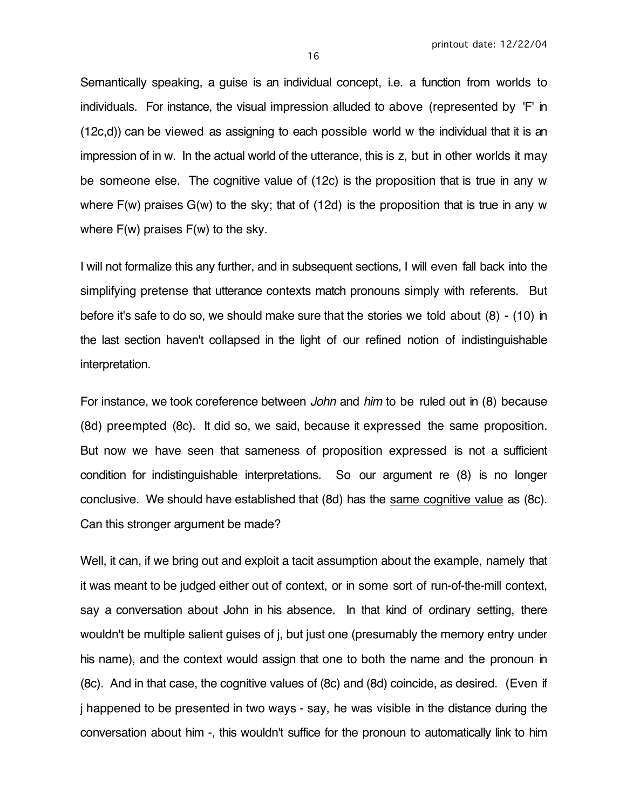Semantically speaking, a guise is an individual concept, i.e. a function from worlds to individuals. For instance, the visual impression alluded to above (represented by 'F' in (12c,d)) can be viewed as assigning to each possible world w the individual that it is an impression of in w. In the actual world of the utterance, this is z, but in other worlds it may be someone else. The cognitive value of (12c) is the proposition that is true in any w where  $F(w)$  praises  $G(w)$  to the sky; that of (12d) is the proposition that is true in any w

I will not formalize this any further, and in subsequent sections, I will even fall back into the simplifying pretense that utterance contexts match pronouns simply with referents. But before it's safe to do so, we should make sure that the stories we told about (8) - (10) in the last section haven't collapsed in the light of our refined notion of indistinguishable interpretation.

where F(w) praises F(w) to the sky.

For instance, we took coreference between *John* and *him* to be ruled out in (8) because (8d) preempted (8c). It did so, we said, because it expressed the same proposition. But now we have seen that sameness of proposition expressed is not a sufficient condition for indistinguishable interpretations. So our argument re (8) is no longer conclusive. We should have established that (8d) has the same cognitive value as (8c). Can this stronger argument be made?

Well, it can, if we bring out and exploit a tacit assumption about the example, namely that it was meant to be judged either out of context, or in some sort of run-of-the-mill context, say a conversation about John in his absence. In that kind of ordinary setting, there wouldn't be multiple salient guises of j, but just one (presumably the memory entry under his name), and the context would assign that one to both the name and the pronoun in (8c). And in that case, the cognitive values of (8c) and (8d) coincide, as desired. (Even if j happened to be presented in two ways - say, he was visible in the distance during the conversation about him -, this wouldn't suffice for the pronoun to automatically link to him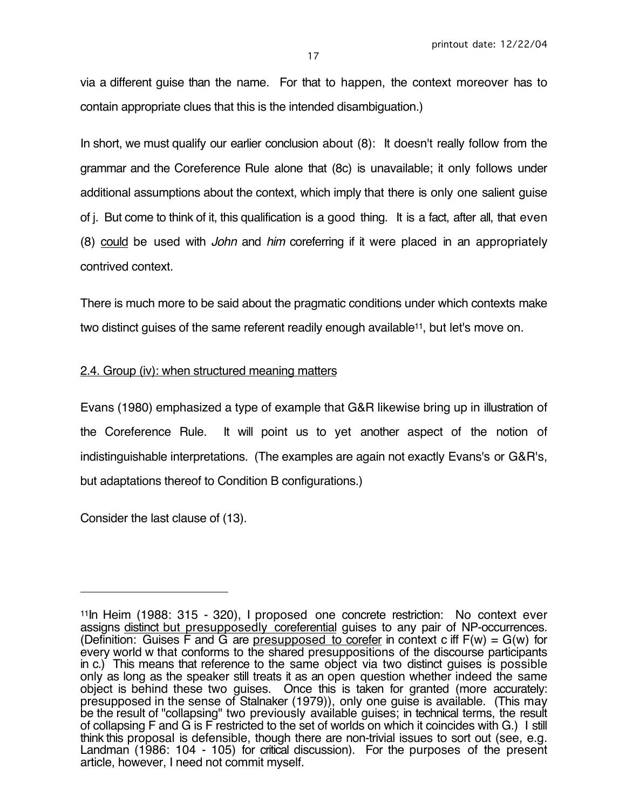via a different guise than the name. For that to happen, the context moreover has to contain appropriate clues that this is the intended disambiguation.)

In short, we must qualify our earlier conclusion about (8): It doesn't really follow from the grammar and the Coreference Rule alone that (8c) is unavailable; it only follows under additional assumptions about the context, which imply that there is only one salient guise of j. But come to think of it, this qualification is a good thing. It is a fact, after all, that even (8) could be used with John and him coreferring if it were placed in an appropriately contrived context.

There is much more to be said about the pragmatic conditions under which contexts make two distinct quises of the same referent readily enough available<sup>11</sup>, but let's move on.

## 2.4. Group (iv): when structured meaning matters

Evans (1980) emphasized a type of example that G&R likewise bring up in illustration of the Coreference Rule. It will point us to yet another aspect of the notion of indistinguishable interpretations. (The examples are again not exactly Evans's or G&R's, but adaptations thereof to Condition B configurations.)

Consider the last clause of (13).

 $\overline{a}$ 

<sup>11</sup>In Heim (1988: 315 - 320), I proposed one concrete restriction: No context ever assigns distinct but presupposedly coreferential guises to any pair of NP-occurrences. (Definition: Guises F and G are presupposed to corefer in context c iff F(w) = G(w) for every world w that conforms to the shared presuppositions of the discourse participants in c.) This means that reference to the same object via two distinct guises is possible only as long as the speaker still treats it as an open question whether indeed the same object is behind these two guises. Once this is taken for granted (more accurately: presupposed in the sense of Stalnaker (1979)), only one guise is available. (This may be the result of "collapsing" two previously available guises; in technical terms, the result of collapsing F and G is F restricted to the set of worlds on which it coincides with G.) I still think this proposal is defensible, though there are non-trivial issues to sort out (see, e.g. Landman (1986: 104 - 105) for critical discussion). For the purposes of the present article, however, I need not commit myself.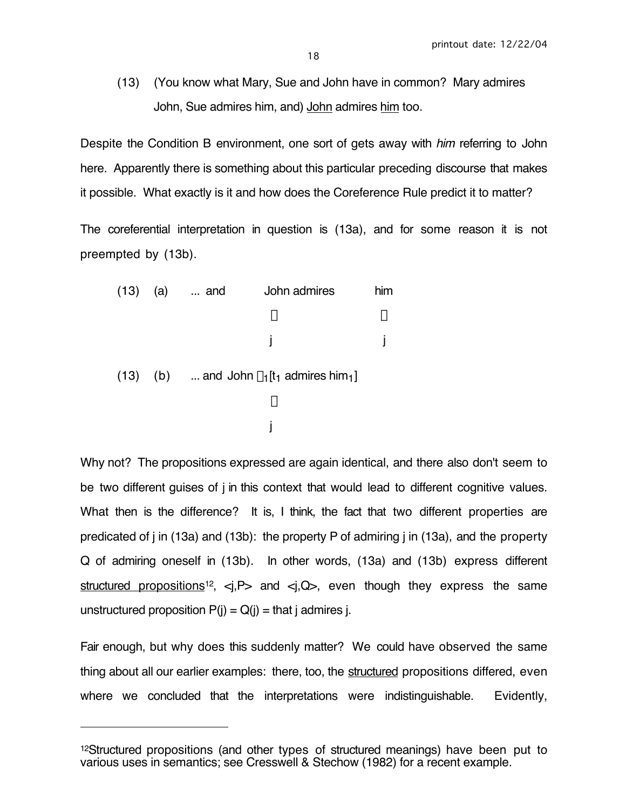(13) (You know what Mary, Sue and John have in common? Mary admires John, Sue admires him, and) John admires him too.

Despite the Condition B environment, one sort of gets away with *him* referring to John here. Apparently there is something about this particular preceding discourse that makes it possible. What exactly is it and how does the Coreference Rule predict it to matter?

The coreferential interpretation in question is (13a), and for some reason it is not preempted by (13b).

(13) (a) ... and John admires him  
\n
$$
\downarrow
$$
\n
$$
\downarrow
$$
\n(13) (b) ... and John  $\lambda_1$ [t<sub>1</sub> admires him<sub>1</sub>]\n
$$
\downarrow
$$
\nj

Why not? The propositions expressed are again identical, and there also don't seem to be two different guises of j in this context that would lead to different cognitive values. What then is the difference? It is, I think, the fact that two different properties are predicated of j in (13a) and (13b): the property P of admiring j in (13a), and the property Q of admiring oneself in (13b). In other words, (13a) and (13b) express different structured propositions<sup>12</sup>,  $\langle i, P \rangle$  and  $\langle i, Q \rangle$ , even though they express the same unstructured proposition  $P(i) = Q(i) = \text{that } j \text{ admires } j$ .

Fair enough, but why does this suddenly matter? We could have observed the same thing about all our earlier examples: there, too, the structured propositions differed, even where we concluded that the interpretations were indistinguishable. Evidently,

 $\overline{a}$ 

<sup>&</sup>lt;sup>12</sup>Structured propositions (and other types of structured meanings) have been put to various uses in semantics; see Cresswell & Stechow (1982) for a recent example.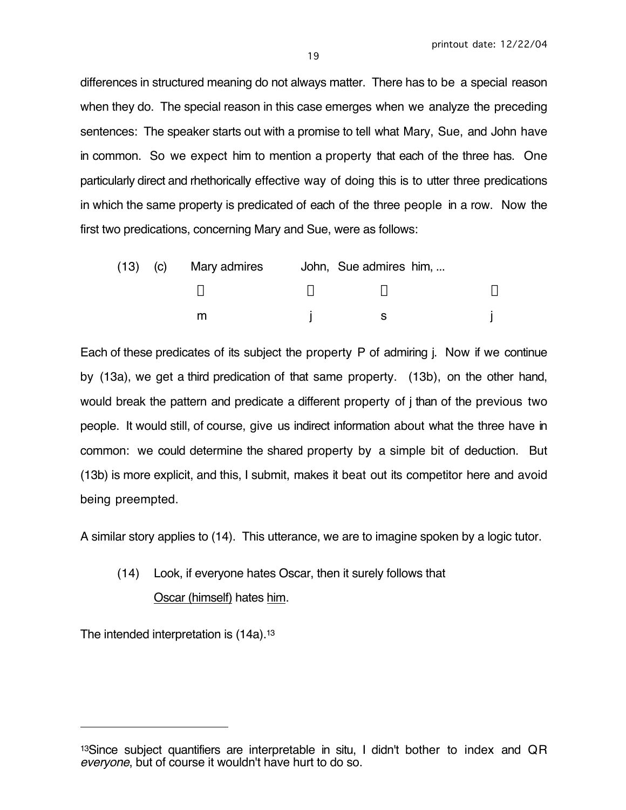differences in structured meaning do not always matter. There has to be a special reason when they do. The special reason in this case emerges when we analyze the preceding sentences: The speaker starts out with a promise to tell what Mary, Sue, and John have in common. So we expect him to mention a property that each of the three has. One particularly direct and rhethorically effective way of doing this is to utter three predications in which the same property is predicated of each of the three people in a row. Now the first two predications, concerning Mary and Sue, were as follows:

|  | (13) (c) Mary admires | John, Sue admires him, |  |
|--|-----------------------|------------------------|--|
|  |                       |                        |  |
|  |                       |                        |  |

Each of these predicates of its subject the property P of admiring j. Now if we continue by (13a), we get a third predication of that same property. (13b), on the other hand, would break the pattern and predicate a different property of j than of the previous two people. It would still, of course, give us indirect information about what the three have in common: we could determine the shared property by a simple bit of deduction. But (13b) is more explicit, and this, I submit, makes it beat out its competitor here and avoid being preempted.

A similar story applies to (14). This utterance, we are to imagine spoken by a logic tutor.

# (14) Look, if everyone hates Oscar, then it surely follows that Oscar (himself) hates him.

The intended interpretation is (14a).<sup>13</sup>

 $\overline{a}$ 

<sup>&</sup>lt;sup>13</sup>Since subject quantifiers are interpretable in situ, I didn't bother to index and QR everyone, but of course it wouldn't have hurt to do so.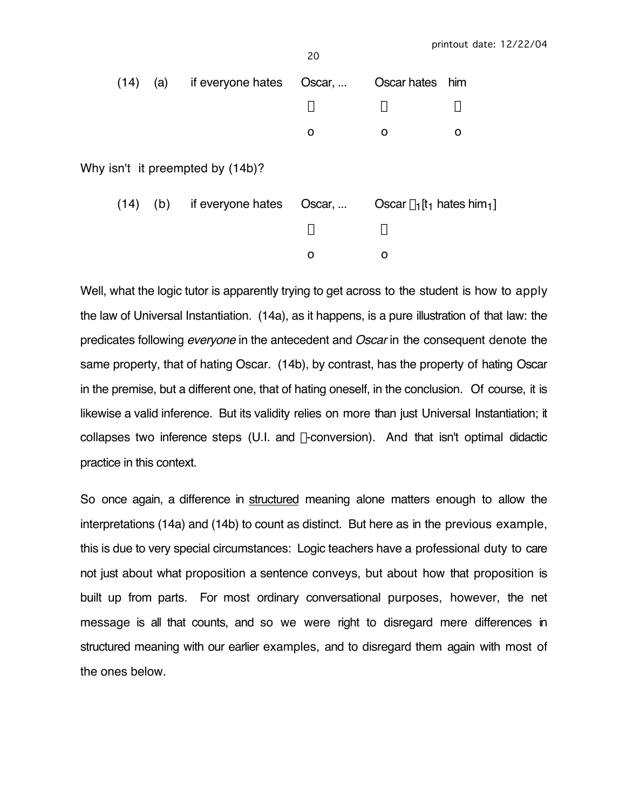| ۰, |              |
|----|--------------|
| I  | I<br>×<br>۰. |

| (14) | (a) | if everyone hates                | Oscar, | Oscar hates him                                            |   |
|------|-----|----------------------------------|--------|------------------------------------------------------------|---|
|      |     |                                  | ↓      | ↓                                                          | ↓ |
|      |     |                                  | O      | O                                                          | O |
|      |     | Why isn't it preempted by (14b)? |        |                                                            |   |
| (14) | (b) | if everyone hates                | Oscar, | Oscar $\lambda_1$ [t <sub>1</sub> hates him <sub>1</sub> ] |   |
|      |     |                                  | ↓      | Ψ                                                          |   |

Well, what the logic tutor is apparently trying to get across to the student is how to apply the law of Universal Instantiation. (14a), as it happens, is a pure illustration of that law: the predicates following *everyone* in the antecedent and *Oscar* in the consequent denote the same property, that of hating Oscar. (14b), by contrast, has the property of hating Oscar in the premise, but a different one, that of hating oneself, in the conclusion. Of course, it is likewise a valid inference. But its validity relies on more than just Universal Instantiation; it collapses two inference steps (U.I. and  $\lambda$ -conversion). And that isn't optimal didactic practice in this context.

o o

So once again, a difference in structured meaning alone matters enough to allow the interpretations (14a) and (14b) to count as distinct. But here as in the previous example, this is due to very special circumstances: Logic teachers have a professional duty to care not just about what proposition a sentence conveys, but about how that proposition is built up from parts. For most ordinary conversational purposes, however, the net message is all that counts, and so we were right to disregard mere differences in structured meaning with our earlier examples, and to disregard them again with most of the ones below.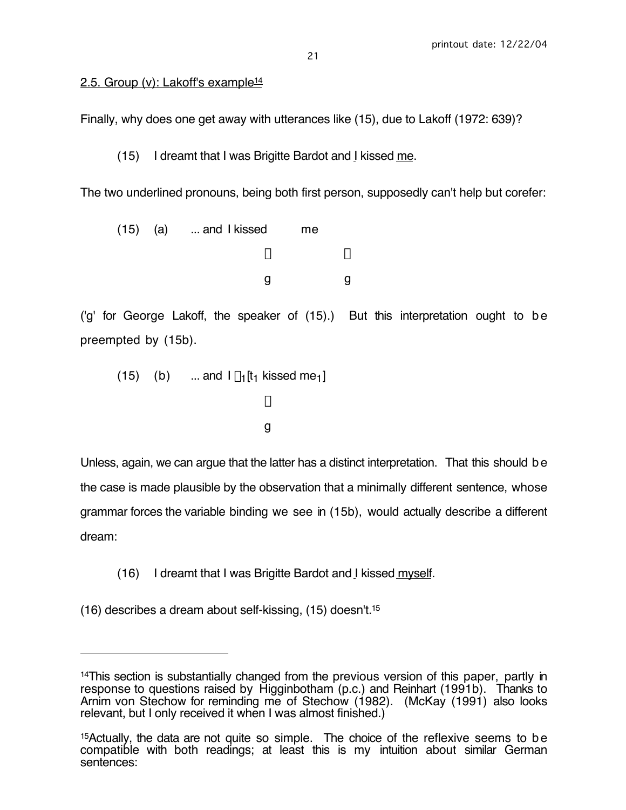# 2.5. Group (v): Lakoff's example<sup>14</sup>

Finally, why does one get away with utterances like (15), due to Lakoff (1972: 639)?

(15) I dreamt that I was Brigitte Bardot and I kissed me.

The two underlined pronouns, being both first person, supposedly can't help but corefer:

 $(15)$   $(a)$  ... and I kissed me  $\downarrow$ g g

('g' for George Lakoff, the speaker of (15).) But this interpretation ought to be preempted by (15b).

(15) (b) ... and 
$$
l \lambda_1[t_1 \text{ kissed me}_1]
$$
  
 $\downarrow$   
g

Unless, again, we can argue that the latter has a distinct interpretation. That this should be the case is made plausible by the observation that a minimally different sentence, whose grammar forces the variable binding we see in (15b), would actually describe a different dream:

- (16) I dreamt that I was Brigitte Bardot and I kissed myself.
- (16) describes a dream about self-kissing, (15) doesn't.15

 $\overline{a}$ 

<sup>14</sup>This section is substantially changed from the previous version of this paper, partly in response to questions raised by Higginbotham (p.c.) and Reinhart (1991b). Thanks to Arnim von Stechow for reminding me of Stechow (1982). (McKay (1991) also looks relevant, but I only received it when I was almost finished.)

<sup>15</sup>Actually, the data are not quite so simple. The choice of the reflexive seems to be compatible with both readings; at least this is my intuition about similar German sentences: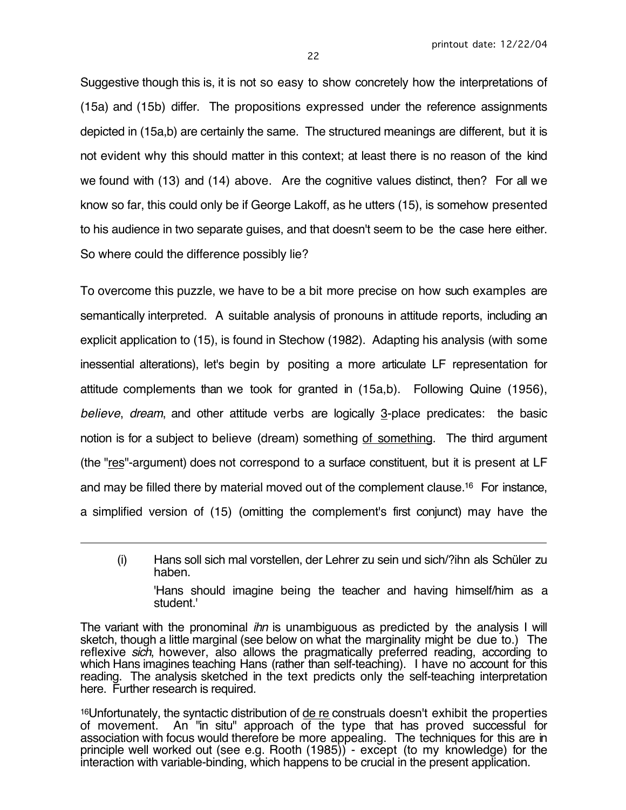Suggestive though this is, it is not so easy to show concretely how the interpretations of (15a) and (15b) differ. The propositions expressed under the reference assignments depicted in (15a,b) are certainly the same. The structured meanings are different, but it is not evident why this should matter in this context; at least there is no reason of the kind we found with (13) and (14) above. Are the cognitive values distinct, then? For all we know so far, this could only be if George Lakoff, as he utters (15), is somehow presented to his audience in two separate guises, and that doesn't seem to be the case here either. So where could the difference possibly lie?

To overcome this puzzle, we have to be a bit more precise on how such examples are semantically interpreted. A suitable analysis of pronouns in attitude reports, including an explicit application to (15), is found in Stechow (1982). Adapting his analysis (with some inessential alterations), let's begin by positing a more articulate LF representation for attitude complements than we took for granted in (15a,b). Following Quine (1956), believe, dream, and other attitude verbs are logically 3-place predicates: the basic notion is for a subject to believe (dream) something of something. The third argument (the "res"-argument) does not correspond to a surface constituent, but it is present at LF and may be filled there by material moved out of the complement clause.16 For instance, a simplified version of (15) (omitting the complement's first conjunct) may have the

 $\overline{a}$ 

<sup>16</sup>Unfortunately, the syntactic distribution of de re construals doesn't exhibit the properties of movement. An "in situ" approach of the type that has proved successful for association with focus would therefore be more appealing. The techniques for this are in principle well worked out (see e.g. Rooth (1985)) - except (to my knowledge) for the interaction with variable-binding, which happens to be crucial in the present application.

<sup>(</sup>i) Hans soll sich mal vorstellen, der Lehrer zu sein und sich/?ihn als Schüler zu haben. 'Hans should imagine being the teacher and having himself/him as a student.'

The variant with the pronominal *ihn* is unambiguous as predicted by the analysis I will sketch, though a little marginal (see below on what the marginality might be due to.) The reflexive sich, however, also allows the pragmatically preferred reading, according to which Hans imagines teaching Hans (rather than self-teaching). I have no account for this reading. The analysis sketched in the text predicts only the self-teaching interpretation here. Further research is required.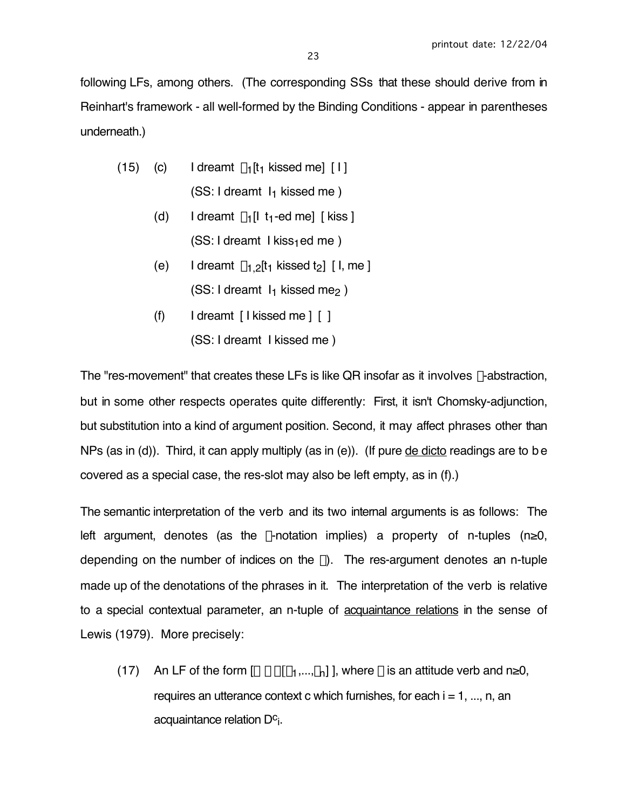following LFs, among others. (The corresponding SSs that these should derive from in Reinhart's framework - all well-formed by the Binding Conditions - appear in parentheses underneath.)

- (15) (c) I dreamt  $\lambda_1[t_1]$  kissed me] [ I ]  $(SS: I$  dreamt  $I<sub>1</sub>$  kissed me )
	- (d) I dreamt  $\lambda_1[1 \text{ t}_1\text{-ed me}]$  [kiss ]  $(SS: I dreamt I kiss<sub>1</sub>ed me)$
	- (e) I dreamt  $\lambda_1$  *p*[t<sub>1</sub> kissed t<sub>2</sub>] [ I, me ]  $(SS: I dreamt I<sub>1</sub> kissed me<sub>2</sub>)$
	- (f) I dreamt [ I kissed me ] [ ]
		- (SS: I dreamt I kissed me )

The "res-movement" that creates these LFs is like QR insofar as it involves  $\lambda$ -abstraction, but in some other respects operates quite differently: First, it isn't Chomsky-adjunction, but substitution into a kind of argument position. Second, it may affect phrases other than NPs (as in (d)). Third, it can apply multiply (as in (e)). (If pure de dicto readings are to be covered as a special case, the res-slot may also be left empty, as in (f).)

The semantic interpretation of the verb and its two internal arguments is as follows: The left argument, denotes (as the  $\lambda$ -notation implies) a property of n-tuples (n≥0, depending on the number of indices on the  $\lambda$ ). The res-argument denotes an n-tuple made up of the denotations of the phrases in it. The interpretation of the verb is relative to a special contextual parameter, an n-tuple of acquaintance relations in the sense of Lewis (1979). More precisely:

(17) An LF of the form  $[\alpha \beta \gamma [\delta_1,...,\delta_n]]$ , where  $\beta$  is an attitude verb and n≥0, requires an utterance context c which furnishes, for each  $i = 1, ..., n$ , an acquaintance relation  $D<sub>c</sub>$ .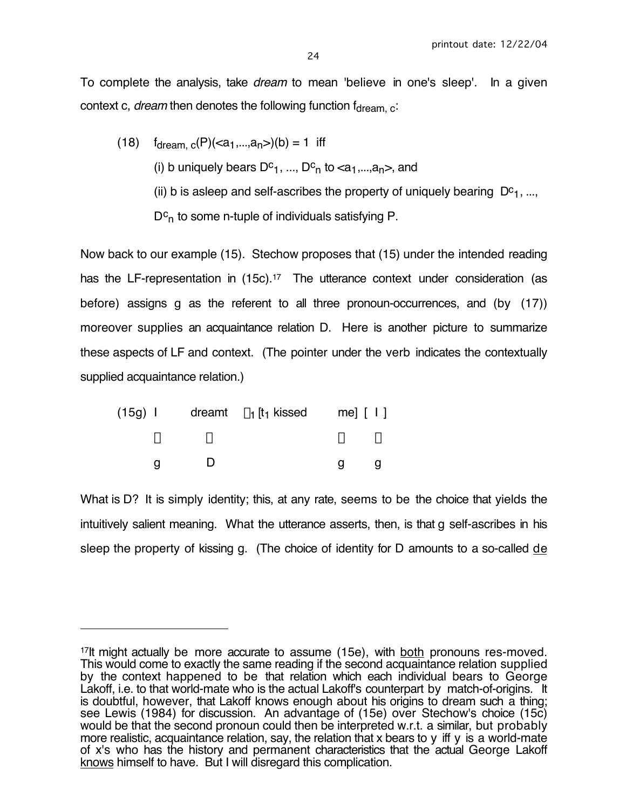To complete the analysis, take *dream* to mean 'believe in one's sleep'. In a given context c, dream then denotes the following function  $f_{\text{dream, c}}$ .

(18)  $f_{\text{dream. c}}(P)(\leq a_1, \ldots, a_n)$  (b) = 1 iff (i) b uniquely bears  $D^c_1$ , ...,  $D^c_n$  to  $\langle a_1,...,a_n \rangle$ , and (ii) b is asleep and self-ascribes the property of uniquely bearing  $D^c_1$ , ...,  $D<sup>c</sup>n$  to some n-tuple of individuals satisfying P.

Now back to our example (15). Stechow proposes that (15) under the intended reading has the LF-representation in (15c).<sup>17</sup> The utterance context under consideration (as before) assigns g as the referent to all three pronoun-occurrences, and (by (17)) moreover supplies an acquaintance relation D. Here is another picture to summarize these aspects of LF and context. (The pointer under the verb indicates the contextually supplied acquaintance relation.)

|  | $(15g)$ I dreamt $\lambda_1$ [t <sub>1</sub> kissed me] [ I ] |                           |   |
|--|---------------------------------------------------------------|---------------------------|---|
|  |                                                               | $\downarrow$ $\downarrow$ |   |
|  |                                                               |                           | u |

 $\overline{a}$ 

What is D? It is simply identity; this, at any rate, seems to be the choice that yields the intuitively salient meaning. What the utterance asserts, then, is that g self-ascribes in his sleep the property of kissing g. (The choice of identity for D amounts to a so-called de

<sup>&</sup>lt;sup>17</sup>lt might actually be more accurate to assume (15e), with both pronouns res-moved. This would come to exactly the same reading if the second acquaintance relation supplied by the context happened to be that relation which each individual bears to George Lakoff, i.e. to that world-mate who is the actual Lakoff's counterpart by match-of-origins. It is doubtful, however, that Lakoff knows enough about his origins to dream such a thing; see Lewis (1984) for discussion. An advantage of (15e) over Stechow's choice (15c) would be that the second pronoun could then be interpreted w.r.t. a similar, but probably more realistic, acquaintance relation, say, the relation that x bears to y iff y is a world-mate of x's who has the history and permanent characteristics that the actual George Lakoff knows himself to have. But I will disregard this complication.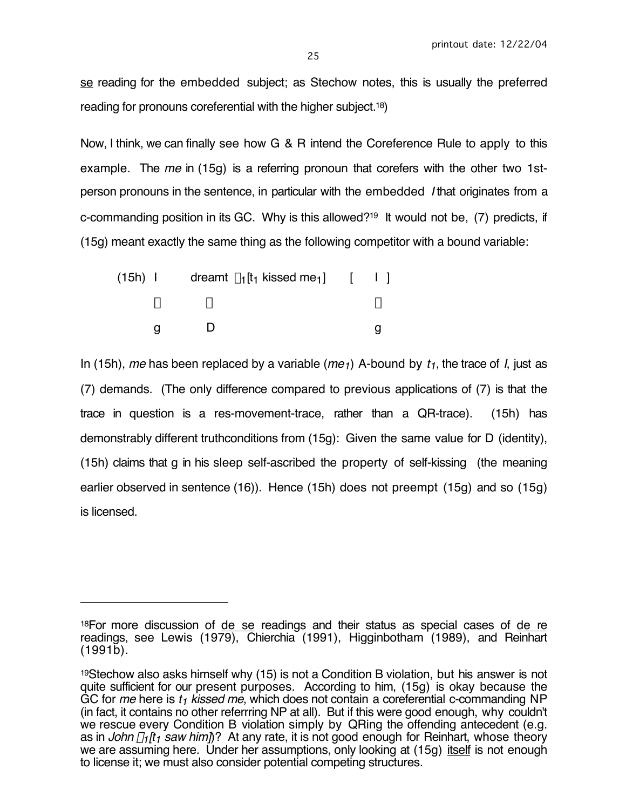se reading for the embedded subject; as Stechow notes, this is usually the preferred reading for pronouns coreferential with the higher subject.18)

Now, I think, we can finally see how G & R intend the Coreference Rule to apply to this example. The me in (15g) is a referring pronoun that corefers with the other two 1stperson pronouns in the sentence, in particular with the embedded I that originates from a c-commanding position in its GC. Why is this allowed?19 It would not be, (7) predicts, if (15g) meant exactly the same thing as the following competitor with a bound variable:

|  |  | (15h) I dreamt $\lambda_1$ [t <sub>1</sub> kissed me <sub>1</sub> ] [ I ] |  |  |
|--|--|---------------------------------------------------------------------------|--|--|
|  |  |                                                                           |  |  |
|  |  |                                                                           |  |  |

 $\overline{a}$ 

In (15h), me has been replaced by a variable (me<sub>1</sub>) A-bound by  $t_1$ , the trace of I, just as (7) demands. (The only difference compared to previous applications of (7) is that the trace in question is a res-movement-trace, rather than a QR-trace). (15h) has demonstrably different truthconditions from (15g): Given the same value for D (identity), (15h) claims that g in his sleep self-ascribed the property of self-kissing (the meaning earlier observed in sentence (16)). Hence (15h) does not preempt (15g) and so (15g) is licensed.

<sup>18</sup>For more discussion of de se readings and their status as special cases of de re readings, see Lewis (1979), Chierchia (1991), Higginbotham (1989), and Reinhart (1991b).

<sup>19</sup>Stechow also asks himself why (15) is not a Condition B violation, but his answer is not quite sufficient for our present purposes. According to him, (15g) is okay because the GC for me here is  $t_1$  kissed me, which does not contain a coreferential c-commanding NP (in fact, it contains no other referrring NP at all). But if this were good enough, why couldn't we rescue every Condition B violation simply by QRing the offending antecedent (e.g. as in John  $\lambda_1$ [t<sub>1</sub> saw him])? At any rate, it is not good enough for Reinhart, whose theory we are assuming here. Under her assumptions, only looking at (15g) itself is not enough to license it; we must also consider potential competing structures.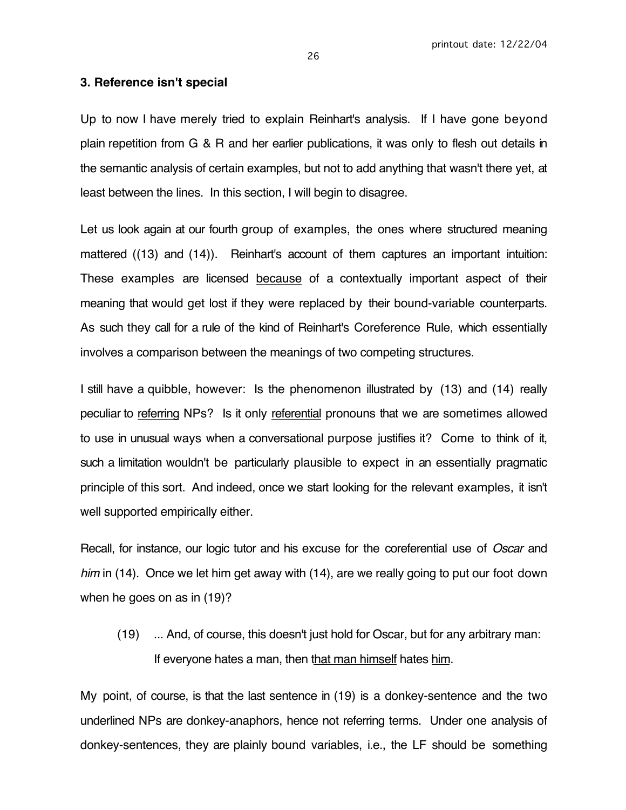#### **3. Reference isn't special**

Up to now I have merely tried to explain Reinhart's analysis. If I have gone beyond plain repetition from G & R and her earlier publications, it was only to flesh out details in the semantic analysis of certain examples, but not to add anything that wasn't there yet, at least between the lines. In this section, I will begin to disagree.

Let us look again at our fourth group of examples, the ones where structured meaning mattered ((13) and (14)). Reinhart's account of them captures an important intuition: These examples are licensed because of a contextually important aspect of their meaning that would get lost if they were replaced by their bound-variable counterparts. As such they call for a rule of the kind of Reinhart's Coreference Rule, which essentially involves a comparison between the meanings of two competing structures.

I still have a quibble, however: Is the phenomenon illustrated by (13) and (14) really peculiar to referring NPs? Is it only referential pronouns that we are sometimes allowed to use in unusual ways when a conversational purpose justifies it? Come to think of it, such a limitation wouldn't be particularly plausible to expect in an essentially pragmatic principle of this sort. And indeed, once we start looking for the relevant examples, it isn't well supported empirically either.

Recall, for instance, our logic tutor and his excuse for the coreferential use of Oscar and him in (14). Once we let him get away with (14), are we really going to put our foot down when he goes on as in (19)?

(19) ... And, of course, this doesn't just hold for Oscar, but for any arbitrary man: If everyone hates a man, then that man himself hates him.

My point, of course, is that the last sentence in (19) is a donkey-sentence and the two underlined NPs are donkey-anaphors, hence not referring terms. Under one analysis of donkey-sentences, they are plainly bound variables, i.e., the LF should be something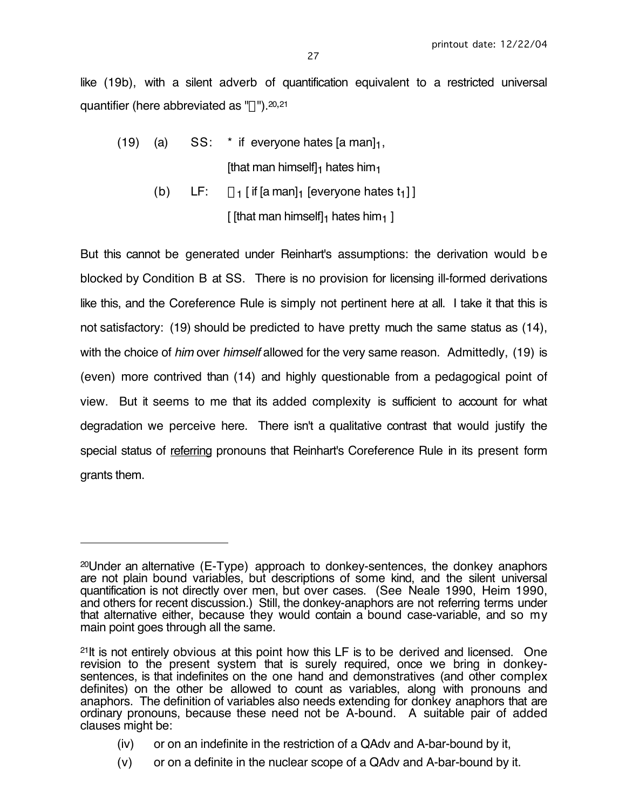like (19b), with a silent adverb of quantification equivalent to a restricted universal quantifier (here abbreviated as  $\Psi$ ").  $20,21$ 

- (19) (a)  $SS:$  \* if everyone hates [a man] $_1$ , [that man himself] $_1$  hates him $_1$ 
	- (b) LF:  $\forall$ <sub>1</sub> [ if [a man]<sub>1</sub> [everyone hates t<sub>1</sub>] ] [ [that man himself] $_1$  hates him $_1$  ]

But this cannot be generated under Reinhart's assumptions: the derivation would be blocked by Condition B at SS. There is no provision for licensing ill-formed derivations like this, and the Coreference Rule is simply not pertinent here at all. I take it that this is not satisfactory: (19) should be predicted to have pretty much the same status as (14), with the choice of *him* over *himself* allowed for the very same reason. Admittedly, (19) is (even) more contrived than (14) and highly questionable from a pedagogical point of view. But it seems to me that its added complexity is sufficient to account for what degradation we perceive here. There isn't a qualitative contrast that would justify the special status of referring pronouns that Reinhart's Coreference Rule in its present form grants them.

 $\overline{a}$ 

- (iv) or on an indefinite in the restriction of a QAdv and A-bar-bound by it,
- (v) or on a definite in the nuclear scope of a QAdv and A-bar-bound by it.

<sup>20</sup>Under an alternative (E-Type) approach to donkey-sentences, the donkey anaphors are not plain bound variables, but descriptions of some kind, and the silent universal quantification is not directly over men, but over cases. (See Neale 1990, Heim 1990, and others for recent discussion.) Still, the donkey-anaphors are not referring terms under that alternative either, because they would contain a bound case-variable, and so my main point goes through all the same.

<sup>21</sup>It is not entirely obvious at this point how this LF is to be derived and licensed. One revision to the present system that is surely required, once we bring in donkeysentences, is that indefinites on the one hand and demonstratives (and other complex definites) on the other be allowed to count as variables, along with pronouns and anaphors. The definition of variables also needs extending for donkey anaphors that are ordinary pronouns, because these need not be A-bound. A suitable pair of added clauses might be: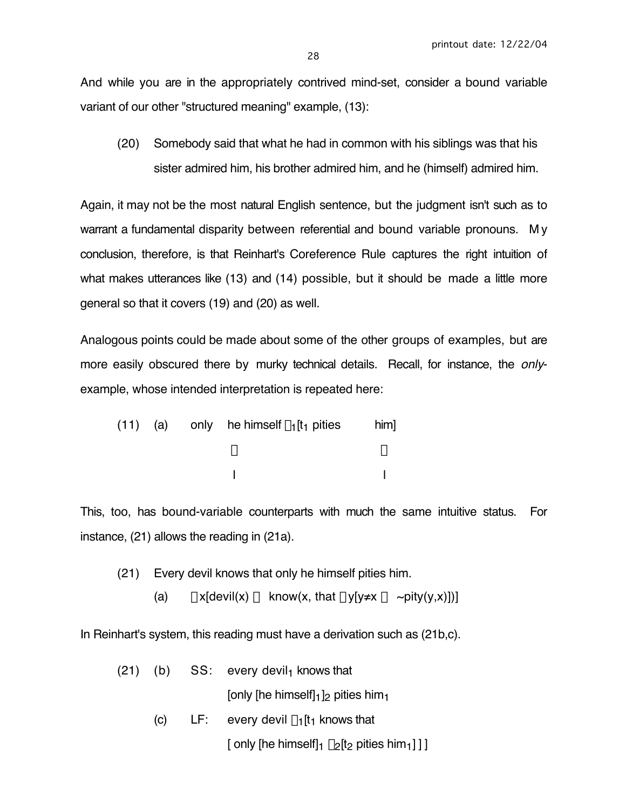And while you are in the appropriately contrived mind-set, consider a bound variable variant of our other "structured meaning" example, (13):

(20) Somebody said that what he had in common with his siblings was that his sister admired him, his brother admired him, and he (himself) admired him.

Again, it may not be the most natural English sentence, but the judgment isn't such as to warrant a fundamental disparity between referential and bound variable pronouns. M y conclusion, therefore, is that Reinhart's Coreference Rule captures the right intuition of what makes utterances like (13) and (14) possible, but it should be made a little more general so that it covers (19) and (20) as well.

Analogous points could be made about some of the other groups of examples, but are more easily obscured there by murky technical details. Recall, for instance, the onlyexample, whose intended interpretation is repeated here:

|  | (11) (a) only he himself $\lambda_1$ [t <sub>1</sub> pities | him] |
|--|-------------------------------------------------------------|------|
|  |                                                             |      |
|  |                                                             |      |

This, too, has bound-variable counterparts with much the same intuitive status. For instance, (21) allows the reading in (21a).

(21) Every devil knows that only he himself pities him.

(a)  $\forall x[devi(x) \rightarrow know(x, that \forall y[y \neq x \rightarrow \sim pity(y,x)])]$ 

In Reinhart's system, this reading must have a derivation such as (21b,c).

|     | $(21)$ (b) SS: every devil <sub>1</sub> knows that                          |
|-----|-----------------------------------------------------------------------------|
|     | [only [he himself] $_1$ ] <sub>2</sub> pities him $_1$                      |
| (C) | LF: every devil $\lambda_1$ [t <sub>1</sub> knows that                      |
|     | [ only [he himself] $\lambda_2$ [t <sub>2</sub> pities him <sub>1</sub> ]]] |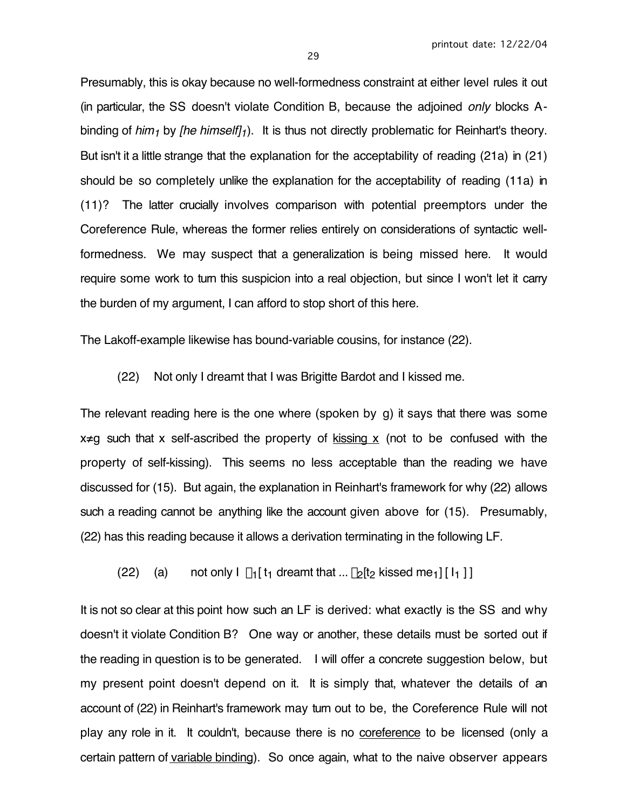Presumably, this is okay because no well-formedness constraint at either level rules it out (in particular, the SS doesn't violate Condition B, because the adjoined only blocks Abinding of him<sub>1</sub> by [he himself]<sub>1</sub>). It is thus not directly problematic for Reinhart's theory. But isn't it a little strange that the explanation for the acceptability of reading (21a) in (21) should be so completely unlike the explanation for the acceptability of reading (11a) in (11)? The latter crucially involves comparison with potential preemptors under the Coreference Rule, whereas the former relies entirely on considerations of syntactic wellformedness. We may suspect that a generalization is being missed here. It would require some work to turn this suspicion into a real objection, but since I won't let it carry the burden of my argument, I can afford to stop short of this here.

The Lakoff-example likewise has bound-variable cousins, for instance (22).

(22) Not only I dreamt that I was Brigitte Bardot and I kissed me.

The relevant reading here is the one where (spoken by g) it says that there was some  $x \neq g$  such that x self-ascribed the property of kissing x (not to be confused with the property of self-kissing). This seems no less acceptable than the reading we have discussed for (15). But again, the explanation in Reinhart's framework for why (22) allows such a reading cannot be anything like the account given above for (15). Presumably, (22) has this reading because it allows a derivation terminating in the following LF.

(22) (a) not only  $l \lambda_1[t_1]$  dreamt that ...  $\lambda_2[t_2]$  kissed me<sub>1</sub>] [  $I_1$  ] ]

It is not so clear at this point how such an LF is derived: what exactly is the SS and why doesn't it violate Condition B? One way or another, these details must be sorted out if the reading in question is to be generated. I will offer a concrete suggestion below, but my present point doesn't depend on it. It is simply that, whatever the details of an account of (22) in Reinhart's framework may turn out to be, the Coreference Rule will not play any role in it. It couldn't, because there is no coreference to be licensed (only a certain pattern of variable binding). So once again, what to the naive observer appears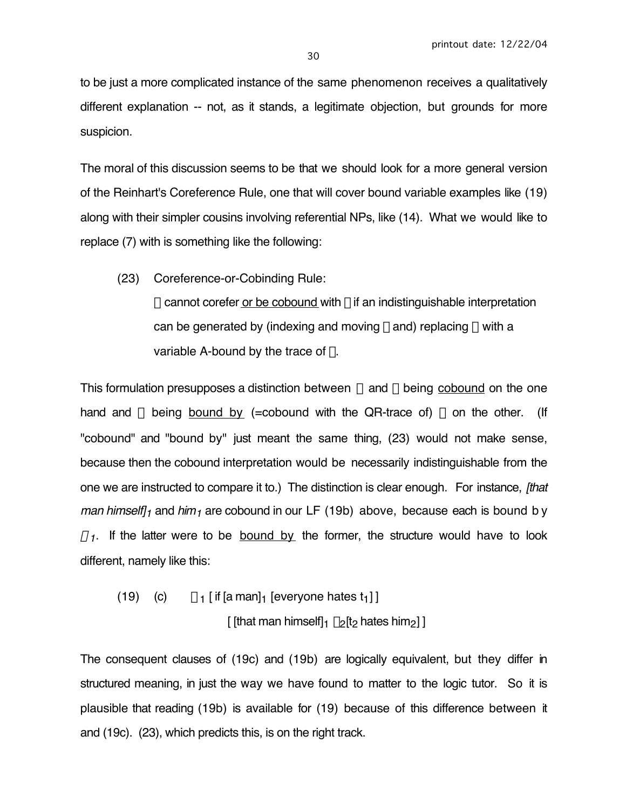to be just a more complicated instance of the same phenomenon receives a qualitatively different explanation -- not, as it stands, a legitimate objection, but grounds for more suspicion.

The moral of this discussion seems to be that we should look for a more general version of the Reinhart's Coreference Rule, one that will cover bound variable examples like (19) along with their simpler cousins involving referential NPs, like (14). What we would like to replace (7) with is something like the following:

(23) Coreference-or-Cobinding Rule:

 $\alpha$  cannot corefer or be cobound with  $\beta$  if an indistinguishable interpretation can be generated by (indexing and moving  $\beta$  and) replacing  $\alpha$  with a variable A-bound by the trace of  $\beta$ .

This formulation presupposes a distinction between  $\alpha$  and  $\beta$  being cobound on the one hand and  $\alpha$  being bound by (=cobound with the QR-trace of)  $\beta$  on the other. (If "cobound" and "bound by" just meant the same thing, (23) would not make sense, because then the cobound interpretation would be necessarily indistinguishable from the one we are instructed to compare it to.) The distinction is clear enough. For instance, *[that*] man himself]<sub>1</sub> and him<sub>1</sub> are cobound in our LF (19b) above, because each is bound b y  $\forall$ <sub>1</sub>. If the latter were to be bound by the former, the structure would have to look different, namely like this:

(19) (c)  $\forall$ <sub>1</sub> [ if [a man]<sub>1</sub> [everyone hates t<sub>1</sub>] ] [ [that man himself]  $\lambda_2$ [t<sub>2</sub> hates him<sub>2</sub>] ]

The consequent clauses of (19c) and (19b) are logically equivalent, but they differ in structured meaning, in just the way we have found to matter to the logic tutor. So it is plausible that reading (19b) is available for (19) because of this difference between it and (19c). (23), which predicts this, is on the right track.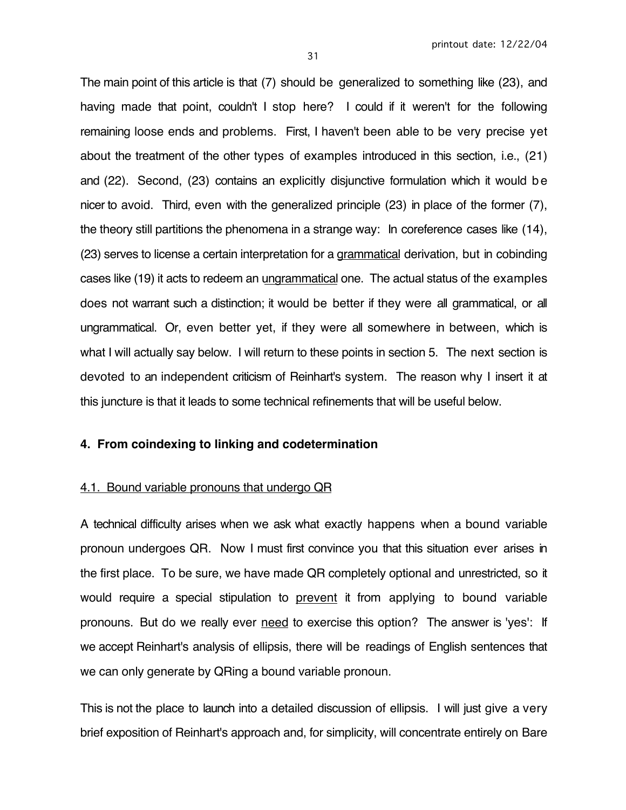The main point of this article is that (7) should be generalized to something like (23), and having made that point, couldn't I stop here? I could if it weren't for the following remaining loose ends and problems. First, I haven't been able to be very precise yet about the treatment of the other types of examples introduced in this section, i.e., (21) and (22). Second, (23) contains an explicitly disjunctive formulation which it would be nicer to avoid. Third, even with the generalized principle (23) in place of the former (7), the theory still partitions the phenomena in a strange way: In coreference cases like (14), (23) serves to license a certain interpretation for a grammatical derivation, but in cobinding cases like (19) it acts to redeem an ungrammatical one. The actual status of the examples does not warrant such a distinction; it would be better if they were all grammatical, or all ungrammatical. Or, even better yet, if they were all somewhere in between, which is what I will actually say below. I will return to these points in section 5. The next section is devoted to an independent criticism of Reinhart's system. The reason why I insert it at this juncture is that it leads to some technical refinements that will be useful below.

## **4. From coindexing to linking and codetermination**

#### 4.1. Bound variable pronouns that undergo QR

A technical difficulty arises when we ask what exactly happens when a bound variable pronoun undergoes QR. Now I must first convince you that this situation ever arises in the first place. To be sure, we have made QR completely optional and unrestricted, so it would require a special stipulation to prevent it from applying to bound variable pronouns. But do we really ever need to exercise this option? The answer is 'yes': If we accept Reinhart's analysis of ellipsis, there will be readings of English sentences that we can only generate by QRing a bound variable pronoun.

This is not the place to launch into a detailed discussion of ellipsis. I will just give a very brief exposition of Reinhart's approach and, for simplicity, will concentrate entirely on Bare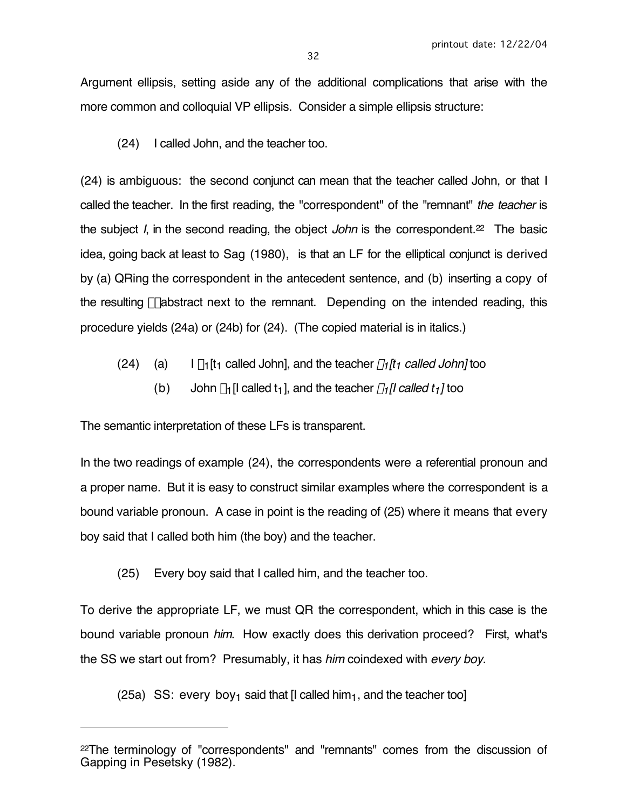Argument ellipsis, setting aside any of the additional complications that arise with the more common and colloquial VP ellipsis. Consider a simple ellipsis structure:

(24) I called John, and the teacher too.

(24) is ambiguous: the second conjunct can mean that the teacher called John, or that I called the teacher. In the first reading, the "correspondent" of the "remnant" the teacher is the subject I, in the second reading, the object John is the correspondent.<sup>22</sup> The basic idea, going back at least to Sag (1980), is that an LF for the elliptical conjunct is derived by (a) QRing the correspondent in the antecedent sentence, and (b) inserting a copy of the resulting  $\lambda$ -abstract next to the remnant. Depending on the intended reading, this procedure yields (24a) or (24b) for (24). (The copied material is in italics.)

- (24) (a) I  $\lambda_1$ [t<sub>1</sub> called John], and the teacher  $\lambda_1$ [t<sub>1</sub> called John] too
	- (b) John  $\lambda_1$ [I called t<sub>1</sub>], and the teacher  $\lambda_1$ [I called t<sub>1</sub>] too

The semantic interpretation of these LFs is transparent.

 $\overline{a}$ 

In the two readings of example (24), the correspondents were a referential pronoun and a proper name. But it is easy to construct similar examples where the correspondent is a bound variable pronoun. A case in point is the reading of (25) where it means that every boy said that I called both him (the boy) and the teacher.

(25) Every boy said that I called him, and the teacher too.

To derive the appropriate LF, we must QR the correspondent, which in this case is the bound variable pronoun him. How exactly does this derivation proceed? First, what's the SS we start out from? Presumably, it has him coindexed with every boy.

(25a) SS: every boy<sub>1</sub> said that  $\left[1 \text{ called him}_1\right]$ , and the teacher too

<sup>22</sup>The terminology of "correspondents" and "remnants" comes from the discussion of Gapping in Pesetsky (1982).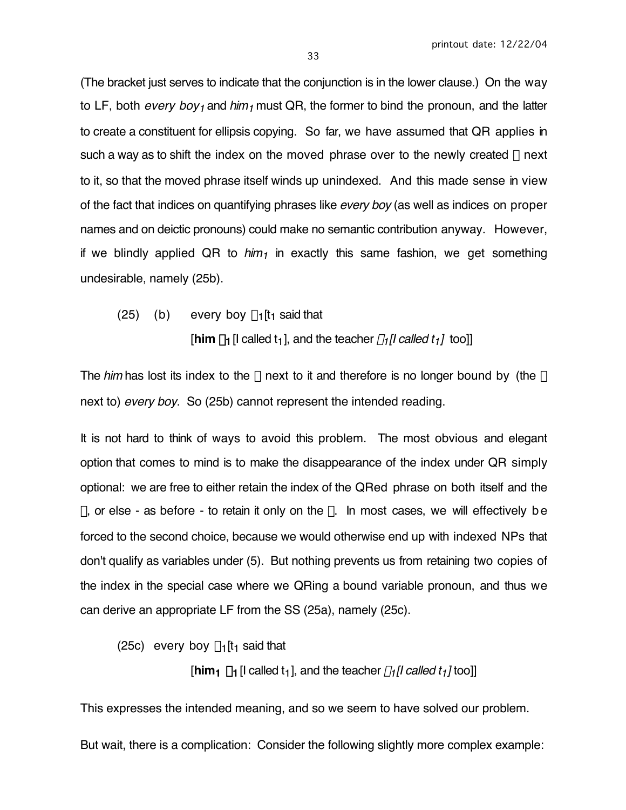(The bracket just serves to indicate that the conjunction is in the lower clause.) On the way to LF, both *every boy<sub>1</sub>* and him<sub>1</sub> must QR, the former to bind the pronoun, and the latter to create a constituent for ellipsis copying. So far, we have assumed that QR applies in such a way as to shift the index on the moved phrase over to the newly created  $\lambda$  next to it, so that the moved phrase itself winds up unindexed. And this made sense in view of the fact that indices on quantifying phrases like *every boy* (as well as indices on proper names and on deictic pronouns) could make no semantic contribution anyway. However, if we blindly applied QR to  $him_1$  in exactly this same fashion, we get something undesirable, namely (25b).

(25) (b) every boy  $\lambda_1$ [t<sub>1</sub> said that

[ $\lim \lambda_1$  [I called t<sub>1</sub>], and the teacher  $\lambda_1$ [I called t<sub>1</sub>] too]]

The him has lost its index to the  $\lambda$  next to it and therefore is no longer bound by (the  $\lambda$ next to) every boy. So (25b) cannot represent the intended reading.

It is not hard to think of ways to avoid this problem. The most obvious and elegant option that comes to mind is to make the disappearance of the index under QR simply optional: we are free to either retain the index of the QRed phrase on both itself and the  $\lambda$ , or else - as before - to retain it only on the  $\lambda$ . In most cases, we will effectively be forced to the second choice, because we would otherwise end up with indexed NPs that don't qualify as variables under (5). But nothing prevents us from retaining two copies of the index in the special case where we QRing a bound variable pronoun, and thus we can derive an appropriate LF from the SS (25a), namely (25c).

(25c) every boy  $\lambda_1$ [t<sub>1</sub> said that

[ $\lim_1 \lambda_1$  [I called t<sub>1</sub>], and the teacher  $\lambda_1$ [I called t<sub>1</sub>] too]]

This expresses the intended meaning, and so we seem to have solved our problem.

But wait, there is a complication: Consider the following slightly more complex example: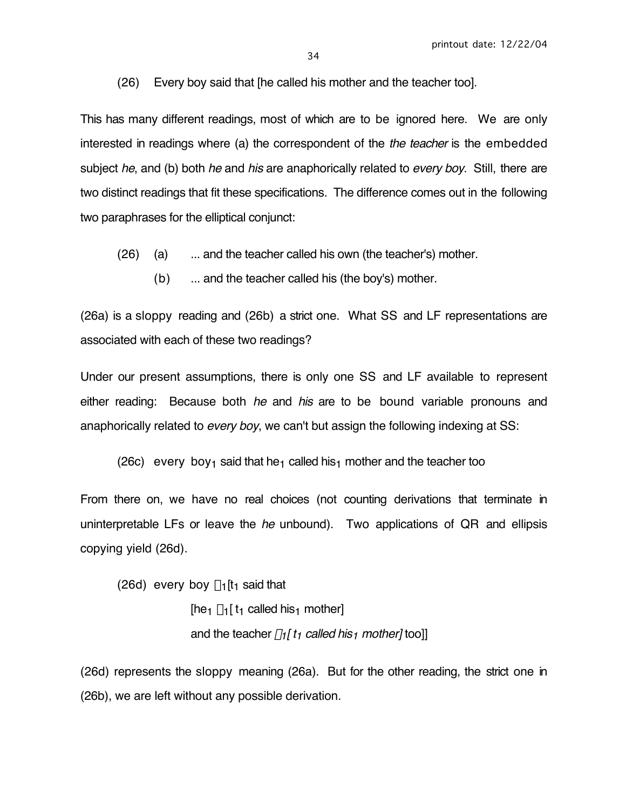(26) Every boy said that [he called his mother and the teacher too].

This has many different readings, most of which are to be ignored here. We are only interested in readings where (a) the correspondent of the *the teacher* is the embedded subject he, and (b) both he and his are anaphorically related to every boy. Still, there are two distinct readings that fit these specifications. The difference comes out in the following two paraphrases for the elliptical conjunct:

(26) (a) ... and the teacher called his own (the teacher's) mother.

(b) ... and the teacher called his (the boy's) mother.

(26a) is a sloppy reading and (26b) a strict one. What SS and LF representations are associated with each of these two readings?

Under our present assumptions, there is only one SS and LF available to represent either reading: Because both *he* and *his* are to be bound variable pronouns and anaphorically related to every boy, we can't but assign the following indexing at SS:

(26c) every boy<sub>1</sub> said that he<sub>1</sub> called his<sub>1</sub> mother and the teacher too

From there on, we have no real choices (not counting derivations that terminate in uninterpretable LFs or leave the he unbound). Two applications of  $QR$  and ellipsis copying yield (26d).

(26d) every boy  $\lambda_1$ [t<sub>1</sub> said that

[he<sub>1</sub>  $\lambda_1$ [ t<sub>1</sub> called his<sub>1</sub> mother] and the teacher  $\lambda_1[t_1]$  called his<sub>1</sub> mother] too]]

(26d) represents the sloppy meaning (26a). But for the other reading, the strict one in (26b), we are left without any possible derivation.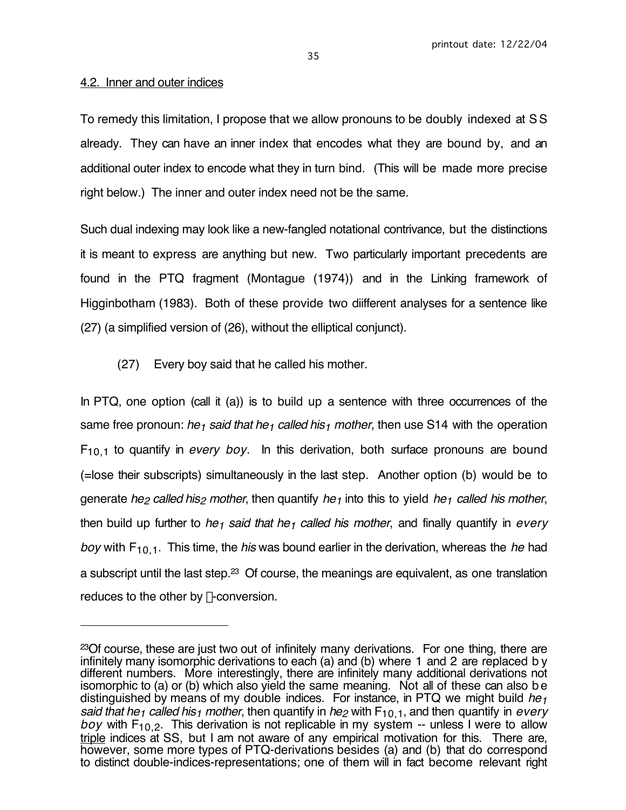## 4.2. Inner and outer indices

 $\overline{a}$ 

To remedy this limitation, I propose that we allow pronouns to be doubly indexed at S S already. They can have an inner index that encodes what they are bound by, and an additional outer index to encode what they in turn bind. (This will be made more precise right below.) The inner and outer index need not be the same.

Such dual indexing may look like a new-fangled notational contrivance, but the distinctions it is meant to express are anything but new. Two particularly important precedents are found in the PTQ fragment (Montague (1974)) and in the Linking framework of Higginbotham (1983). Both of these provide two diifferent analyses for a sentence like (27) (a simplified version of (26), without the elliptical conjunct).

(27) Every boy said that he called his mother.

In PTQ, one option (call it (a)) is to build up a sentence with three occurrences of the same free pronoun: he<sub>1</sub> said that he<sub>1</sub> called his<sub>1</sub> mother, then use S14 with the operation  $F_{10,1}$  to quantify in *every boy*. In this derivation, both surface pronouns are bound (=lose their subscripts) simultaneously in the last step. Another option (b) would be to generate he<sub>2</sub> called his<sub>2</sub> mother, then quantify he<sub>1</sub> into this to yield he<sub>1</sub> called his mother, then build up further to he<sub>1</sub> said that he<sub>1</sub> called his mother, and finally quantify in every boy with  $F_{10,1}$ . This time, the his was bound earlier in the derivation, whereas the he had a subscript until the last step.<sup>23</sup> Of course, the meanings are equivalent, as one translation reduces to the other by  $\lambda$ -conversion.

<sup>&</sup>lt;sup>23</sup>Of course, these are just two out of infinitely many derivations. For one thing, there are infinitely many isomorphic derivations to each (a) and (b) where 1 and 2 are replaced b y different numbers. More interestingly, there are infinitely many additional derivations not isomorphic to (a) or (b) which also yield the same meaning. Not all of these can also be distinguished by means of my double indices. For instance, in PTQ we might build  $he_1$ said that he<sub>1</sub> called his<sub>1</sub> mother, then quantify in he<sub>2</sub> with  $F_{10,1}$ , and then quantify in every boy with  $F_{10,2}$ . This derivation is not replicable in my system -- unless I were to allow triple indices at SS, but I am not aware of any empirical motivation for this. There are, however, some more types of PTQ-derivations besides (a) and (b) that do correspond to distinct double-indices-representations; one of them will in fact become relevant right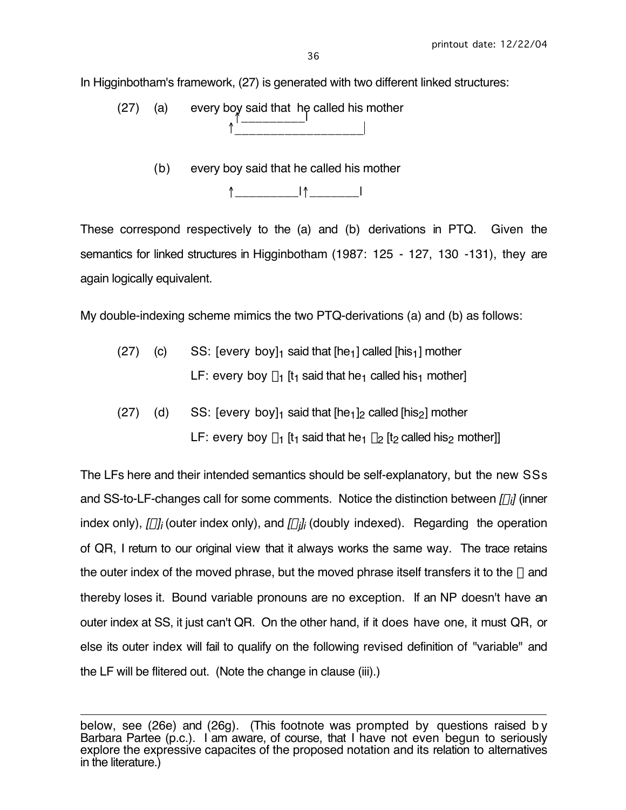In Higginbotham's framework, (27) is generated with two different linked structures:

(27) (a) every boy said that he called his mother  $\uparrow$   $\qquad$ ↑\_\_\_\_\_\_\_\_\_\_\_\_\_\_\_\_\_\_|

(b) every boy said that he called his mother



These correspond respectively to the (a) and (b) derivations in PTQ. Given the semantics for linked structures in Higginbotham (1987: 125 - 127, 130 -131), they are again logically equivalent.

My double-indexing scheme mimics the two PTQ-derivations (a) and (b) as follows:

- $(27)$  (c) SS: [every boy]<sub>1</sub> said that  $[he_1]$  called  $[his_1]$  mother LF: every boy  $\lambda_1$  [t<sub>1</sub> said that he<sub>1</sub> called his<sub>1</sub> mother]
- (27) (d) SS:  $[every\,b$  ov $]_1$  said that  $[he_1]_2$  called  $[his_2]$  mother LF: every boy  $\lambda_1$  [t<sub>1</sub> said that he<sub>1</sub>  $\lambda_2$  [t<sub>2</sub> called his<sub>2</sub> mother]]

The LFs here and their intended semantics should be self-explanatory, but the new SSs and SS-to-LF-changes call for some comments. Notice the distinction between [ $\alpha$ i] (inner index only), [ $\alpha$ ]<sub>i</sub> (outer index only), and [ $\alpha$ <sub>j</sub>]<sub>i</sub> (doubly indexed). Regarding the operation of QR, I return to our original view that it always works the same way. The trace retains the outer index of the moved phrase, but the moved phrase itself transfers it to the  $\lambda$  and thereby loses it. Bound variable pronouns are no exception. If an NP doesn't have an outer index at SS, it just can't QR. On the other hand, if it does have one, it must QR, or else its outer index will fail to qualify on the following revised definition of "variable" and the LF will be flitered out. (Note the change in clause (iii).)

 $\overline{a}$ below, see (26e) and (26g). (This footnote was prompted by questions raised b y Barbara Partee (p.c.). I am aware, of course, that I have not even begun to seriously explore the expressive capacites of the proposed notation and its relation to alternatives in the literature.)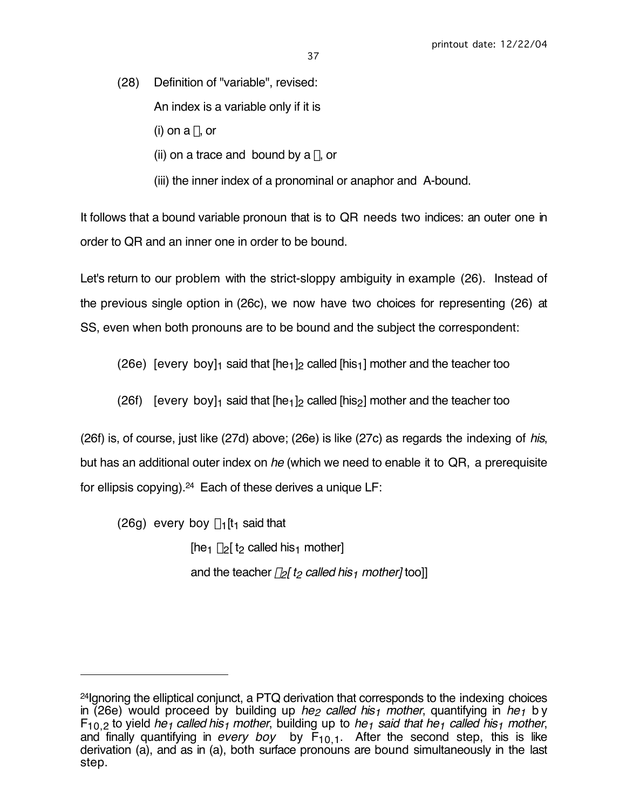(28) Definition of "variable", revised: An index is a variable only if it is (i) on a  $\lambda$ , or (ii) on a trace and bound by a  $\lambda$ , or

(iii) the inner index of a pronominal or anaphor and A-bound.

It follows that a bound variable pronoun that is to QR needs two indices: an outer one in order to QR and an inner one in order to be bound.

Let's return to our problem with the strict-sloppy ambiguity in example (26). Instead of the previous single option in (26c), we now have two choices for representing (26) at SS, even when both pronouns are to be bound and the subject the correspondent:

(26e) [every boy]<sub>1</sub> said that  $[he_1]_2$  called  $[his_1]$  mother and the teacher too

(26f) [every boy]<sub>1</sub> said that  $[he_1]_2$  called  $[his_2]$  mother and the teacher too

(26f) is, of course, just like (27d) above; (26e) is like (27c) as regards the indexing of his, but has an additional outer index on he (which we need to enable it to QR, a prerequisite for ellipsis copying).24 Each of these derives a unique LF:

(26g) every boy  $\lambda_1$ [t<sub>1</sub> said that

 $\overline{a}$ 

[he<sub>1</sub>  $\lambda$ <sub>2</sub>[ t<sub>2</sub> called his<sub>1</sub> mother] and the teacher  $\lambda$ <sub>2</sub>[ t<sub>2</sub> called his<sub>1</sub> mother] too]]

<sup>24</sup>Ignoring the elliptical conjunct, a PTQ derivation that corresponds to the indexing choices in (26e) would proceed by building up *he<sub>2</sub> called his<sub>1</sub> mother*, quantifying in *he<sub>1</sub>* b y  $F_{10,2}$  to yield he<sub>1</sub> called his<sub>1</sub> mother, building up to he<sub>1</sub> said that he<sub>1</sub> called his<sub>1</sub> mother, and finally quantifying in every boy by  $F_{10,1}$ . After the second step, this is like derivation (a), and as in (a), both surface pronouns are bound simultaneously in the last step.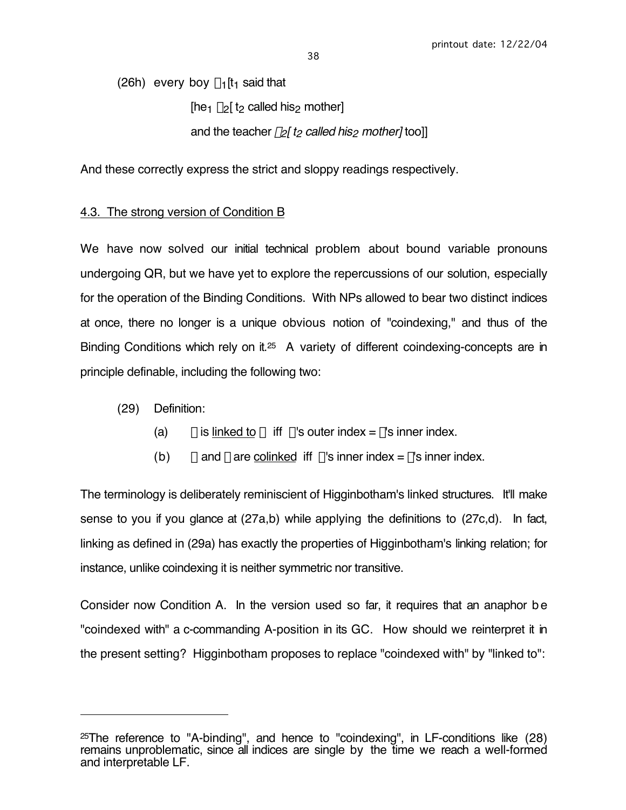(26h) every boy  $\lambda_1$ [t<sub>1</sub> said that

[he<sub>1</sub>  $\lambda$ <sub>2</sub>[ t<sub>2</sub> called his<sub>2</sub> mother]

and the teacher  $\lambda_2$ [ t<sub>2</sub> called his<sub>2</sub> mother] too]]

And these correctly express the strict and sloppy readings respectively.

# 4.3. The strong version of Condition B

We have now solved our initial technical problem about bound variable pronouns undergoing QR, but we have yet to explore the repercussions of our solution, especially for the operation of the Binding Conditions. With NPs allowed to bear two distinct indices at once, there no longer is a unique obvious notion of "coindexing," and thus of the Binding Conditions which rely on it.<sup>25</sup> A variety of different coindexing-concepts are in principle definable, including the following two:

(29) Definition:

 $\overline{a}$ 

- (a)  $\beta$  is linked to  $\alpha$  iff  $\alpha$ 's outer index =  $\beta$ 's inner index.
- (b)  $\alpha$  and  $\beta$  are colinked iff  $\alpha$ 's inner index =  $\beta$ 's inner index.

The terminology is deliberately reminiscient of Higginbotham's linked structures. It'll make sense to you if you glance at (27a,b) while applying the definitions to (27c,d). In fact, linking as defined in (29a) has exactly the properties of Higginbotham's linking relation; for instance, unlike coindexing it is neither symmetric nor transitive.

Consider now Condition A. In the version used so far, it requires that an anaphor be "coindexed with" a c-commanding A-position in its GC. How should we reinterpret it in the present setting? Higginbotham proposes to replace "coindexed with" by "linked to":

 $25$ The reference to "A-binding", and hence to "coindexing", in LF-conditions like  $(28)$ remains unproblematic, since all indices are single by the time we reach a well-formed and interpretable LF.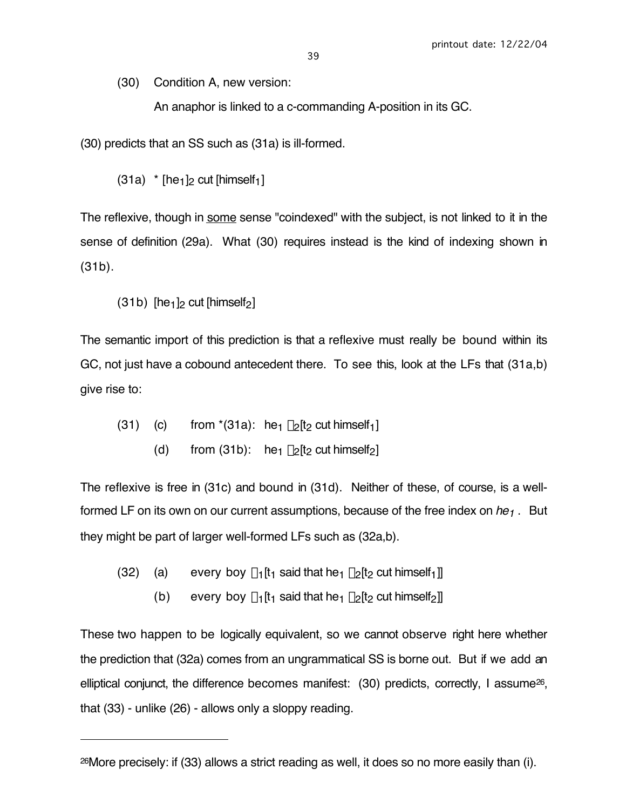(30) Condition A, new version:

An anaphor is linked to a c-commanding A-position in its GC.

(30) predicts that an SS such as (31a) is ill-formed.

 $(31a)$  \* [he<sub>1</sub>]<sub>2</sub> cut [himself<sub>1</sub>]

The reflexive, though in some sense "coindexed" with the subject, is not linked to it in the sense of definition (29a). What (30) requires instead is the kind of indexing shown in (31b).

 $(31b)$  [he<sub>1</sub>]<sub>2</sub> cut [himself<sub>2</sub>]

 $\overline{a}$ 

The semantic import of this prediction is that a reflexive must really be bound within its GC, not just have a cobound antecedent there. To see this, look at the LFs that (31a,b) give rise to:

- (31) (c) from  $*(31a)$ : he<sub>1</sub>  $\lambda_2[t_2 \text{ cut himself}_1]$ 
	- (d) from (31b): he<sub>1</sub>  $\lambda_2[t_2 \text{ cut himself}_2]$

The reflexive is free in (31c) and bound in (31d). Neither of these, of course, is a wellformed LF on its own on our current assumptions, because of the free index on  $he_1$ . But they might be part of larger well-formed LFs such as (32a,b).

- (32) (a) every boy  $\lambda_1[t_1]$  said that he<sub>1</sub>  $\lambda_2[t_2]$  cut himself<sub>1</sub>]
	- (b) every boy  $\lambda_1[t_1]$  said that he<sub>1</sub>  $\lambda_2[t_2]$  cut himself<sub>2</sub>]]

These two happen to be logically equivalent, so we cannot observe right here whether the prediction that (32a) comes from an ungrammatical SS is borne out. But if we add an elliptical conjunct, the difference becomes manifest: (30) predicts, correctly, I assume26, that (33) - unlike (26) - allows only a sloppy reading.

<sup>26</sup>More precisely: if (33) allows a strict reading as well, it does so no more easily than (i).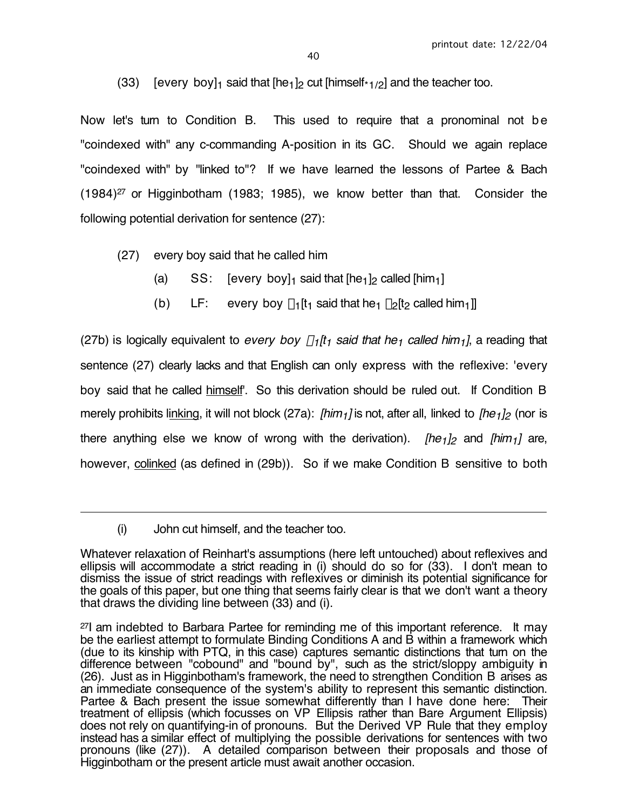40

(33) [every boy]<sub>1</sub> said that  $[he_1]_2$  cut  $[himself*1/2]$  and the teacher too.

Now let's turn to Condition B. This used to require that a pronominal not be "coindexed with" any c-commanding A-position in its GC. Should we again replace "coindexed with" by "linked to"? If we have learned the lessons of Partee & Bach (1984)27 or Higginbotham (1983; 1985), we know better than that. Consider the following potential derivation for sentence (27):

- (27) every boy said that he called him
	- (a)  $SS:$  [every boy]<sub>1</sub> said that  $[he_1]_2$  called  $[him_1]$
	- (b) LF: every boy  $\lambda_1[t_1]$  said that he<sub>1</sub>  $\lambda_2[t_2]$  called him<sub>1</sub>]

(27b) is logically equivalent to every boy  $\lambda_1/t_1$  said that he<sub>1</sub> called him<sub>1</sub>], a reading that sentence (27) clearly lacks and that English can only express with the reflexive: 'every boy said that he called himself'. So this derivation should be ruled out. If Condition B merely prohibits linking, it will not block (27a): [him<sub>1</sub>] is not, after all, linked to [he<sub>1</sub>]<sub>2</sub> (nor is there anything else we know of wrong with the derivation). [he<sub>1</sub>]<sub>2</sub> and [him<sub>1</sub>] are, however, colinked (as defined in (29b)). So if we make Condition B sensitive to both

 $\overline{a}$ 

<sup>(</sup>i) John cut himself, and the teacher too.

Whatever relaxation of Reinhart's assumptions (here left untouched) about reflexives and ellipsis will accommodate a strict reading in (i) should do so for (33). I don't mean to dismiss the issue of strict readings with reflexives or diminish its potential significance for the goals of this paper, but one thing that seems fairly clear is that we don't want a theory that draws the dividing line between (33) and (i).

 $27$ I am indebted to Barbara Partee for reminding me of this important reference. It may be the earliest attempt to formulate Binding Conditions A and B within a framework which (due to its kinship with PTQ, in this case) captures semantic distinctions that turn on the difference between "cobound" and "bound by", such as the strict/sloppy ambiguity in (26). Just as in Higginbotham's framework, the need to strengthen Condition B arises as an immediate consequence of the system's ability to represent this semantic distinction. Partee & Bach present the issue somewhat differently than I have done here: Their treatment of ellipsis (which focusses on VP Ellipsis rather than Bare Argument Ellipsis) does not rely on quantifying-in of pronouns. But the Derived VP Rule that they employ instead has a similar effect of multiplying the possible derivations for sentences with two pronouns (like (27)). A detailed comparison between their proposals and those of Higginbotham or the present article must await another occasion.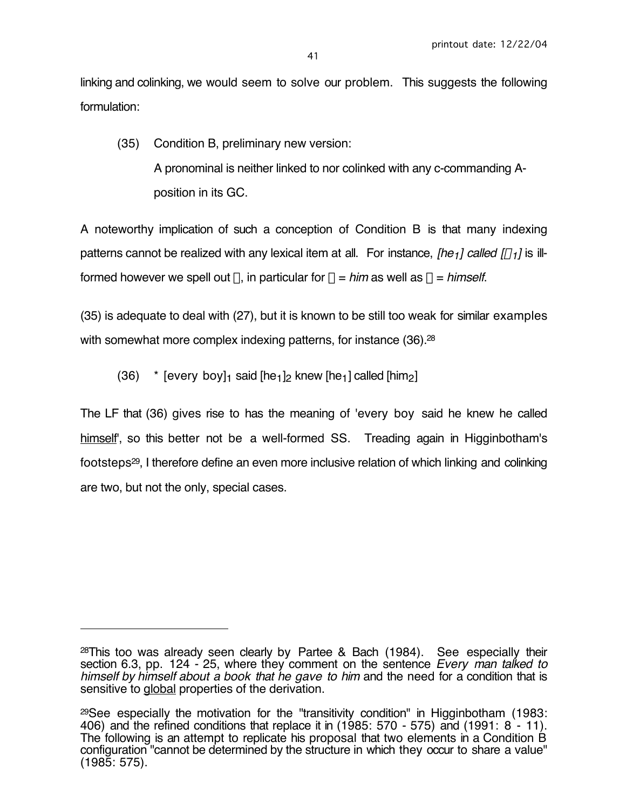linking and colinking, we would seem to solve our problem. This suggests the following formulation:

(35) Condition B, preliminary new version: A pronominal is neither linked to nor colinked with any c-commanding Aposition in its GC.

A noteworthy implication of such a conception of Condition B is that many indexing patterns cannot be realized with any lexical item at all. For instance, [he<sub>1</sub>] called  $\lceil \alpha_1 \rceil$  is illformed however we spell out  $\alpha$ , in particular for  $\alpha = \text{him}$  as well as  $\alpha = \text{himself}$ .

(35) is adequate to deal with (27), but it is known to be still too weak for similar examples with somewhat more complex indexing patterns, for instance (36).<sup>28</sup>

(36)  $*$  [every boy]<sub>1</sub> said [he<sub>1</sub>]<sub>2</sub> knew [he<sub>1</sub>] called [him<sub>2</sub>]

 $\overline{a}$ 

The LF that (36) gives rise to has the meaning of 'every boy said he knew he called himself', so this better not be a well-formed SS. Treading again in Higginbotham's footsteps29, I therefore define an even more inclusive relation of which linking and colinking are two, but not the only, special cases.

 $28$ This too was already seen clearly by Partee & Bach (1984). See especially their section 6.3, pp. 124 - 25, where they comment on the sentence Every man talked to himself by himself about a book that he gave to him and the need for a condition that is sensitive to global properties of the derivation.

<sup>29</sup>See especially the motivation for the "transitivity condition" in Higginbotham (1983: 406) and the refined conditions that replace it in (1985: 570 - 575) and (1991: 8 - 11). The following is an attempt to replicate his proposal that two elements in a Condition B configuration "cannot be determined by the structure in which they occur to share a value" (1985: 575).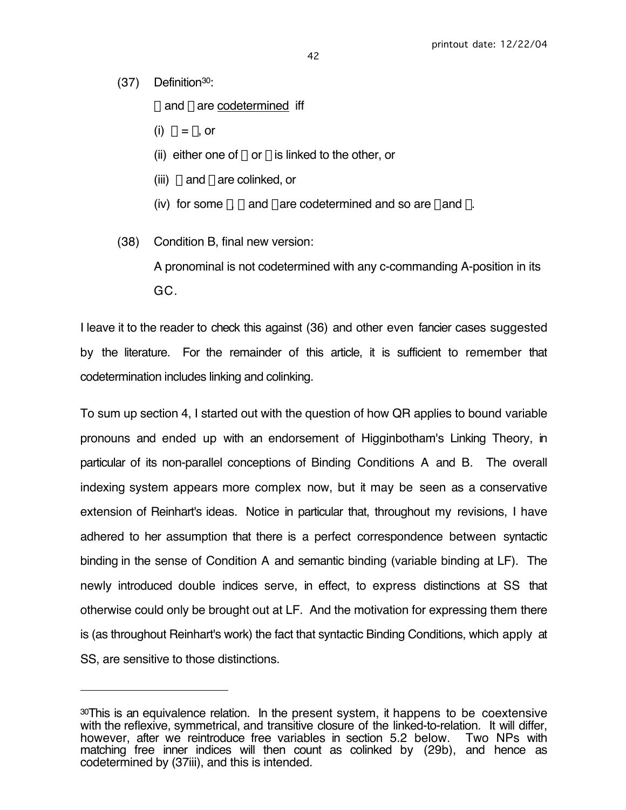(37) Definition30:

 $\overline{a}$ 

 $\alpha$  and  $\beta$  are codetermined iff

- (i)  $\alpha = \beta$ , or
- (ii) either one of  $\alpha$  or  $\beta$  is linked to the other, or
- (iii)  $\alpha$  and  $\beta$  are colinked, or
- (iv) for some  $\gamma$ ,  $\alpha$  and  $\gamma$  are codetermined and so are  $\gamma$  and  $\beta$ .

(38) Condition B, final new version:

A pronominal is not codetermined with any c-commanding A-position in its GC.

I leave it to the reader to check this against (36) and other even fancier cases suggested by the literature. For the remainder of this article, it is sufficient to remember that codetermination includes linking and colinking.

To sum up section 4, I started out with the question of how QR applies to bound variable pronouns and ended up with an endorsement of Higginbotham's Linking Theory, in particular of its non-parallel conceptions of Binding Conditions A and B. The overall indexing system appears more complex now, but it may be seen as a conservative extension of Reinhart's ideas. Notice in particular that, throughout my revisions, I have adhered to her assumption that there is a perfect correspondence between syntactic binding in the sense of Condition A and semantic binding (variable binding at LF). The newly introduced double indices serve, in effect, to express distinctions at SS that otherwise could only be brought out at LF. And the motivation for expressing them there is (as throughout Reinhart's work) the fact that syntactic Binding Conditions, which apply at SS, are sensitive to those distinctions.

<sup>&</sup>lt;sup>30</sup>This is an equivalence relation. In the present system, it happens to be coextensive with the reflexive, symmetrical, and transitive closure of the linked-to-relation. It will differ, however, after we reintroduce free variables in section 5.2 below. Two NPs with however, after we reintroduce free variables in section 5.2 below. matching free inner indices will then count as colinked by (29b), and hence as codetermined by (37iii), and this is intended.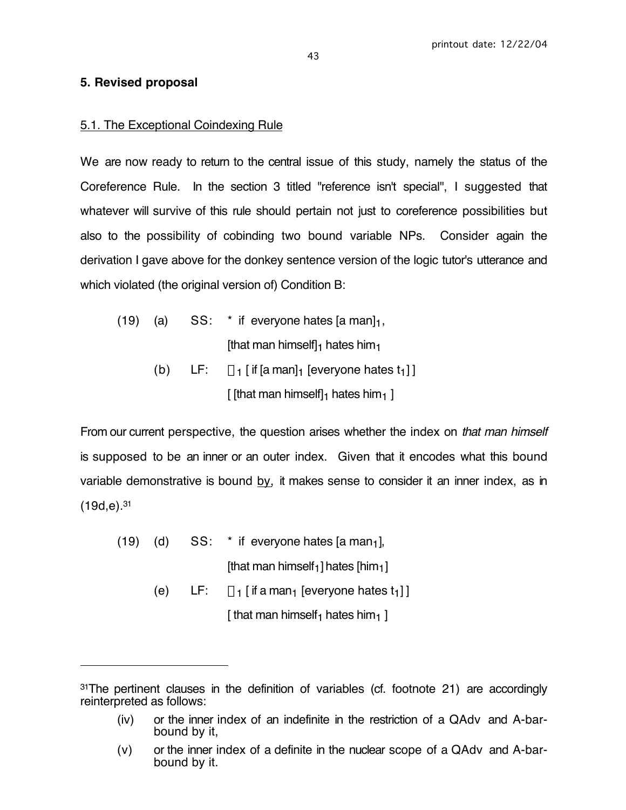## **5. Revised proposal**

 $\overline{a}$ 

## 5.1. The Exceptional Coindexing Rule

We are now ready to return to the central issue of this study, namely the status of the Coreference Rule. In the section 3 titled "reference isn't special", I suggested that whatever will survive of this rule should pertain not just to coreference possibilities but also to the possibility of cobinding two bound variable NPs. Consider again the derivation I gave above for the donkey sentence version of the logic tutor's utterance and which violated (the original version of) Condition B:

(19) (a)  $SS:$  \* if everyone hates [a man] $_1$ , [that man himself] $_1$  hates him $_1$ ] (b) LF:  $\forall$ <sub>1</sub> [ if [a man]<sub>1</sub> [everyone hates t<sub>1</sub>] ]

[ [that man himself] $_1$  hates him $_1$  ]

From our current perspective, the question arises whether the index on that man himself is supposed to be an inner or an outer index. Given that it encodes what this bound variable demonstrative is bound  $by$ , it makes sense to consider it an inner index, as in  $(19d,e).<sup>31</sup>$ 

- $(19)$   $(d)$  SS:  $*$  if everyone hates [a man<sub>1</sub>], [that man himself<sub>1</sub>] hates  $[him<sub>1</sub>]$ 
	- (e) LF:  $\forall$ <sub>1</sub> [ if a man<sub>1</sub> [everyone hates t<sub>1</sub>] ] [ that man himself<sub>1</sub> hates him<sub>1</sub> ]

<sup>&</sup>lt;sup>31</sup>The pertinent clauses in the definition of variables (cf. footnote 21) are accordingly reinterpreted as follows:

<sup>(</sup>iv) or the inner index of an indefinite in the restriction of a QAdv and A-barbound by it,

<sup>(</sup>v) or the inner index of a definite in the nuclear scope of a QAdv and A-barbound by it.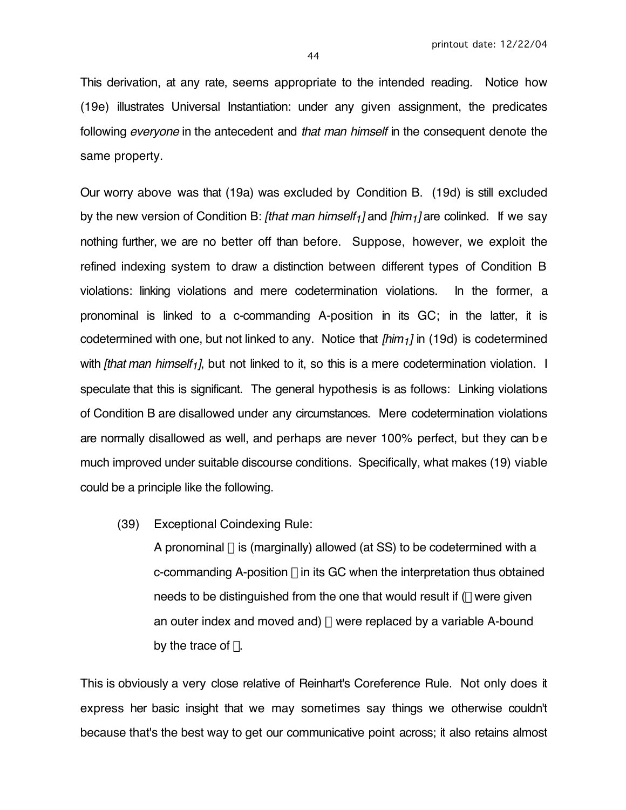This derivation, at any rate, seems appropriate to the intended reading. Notice how (19e) illustrates Universal Instantiation: under any given assignment, the predicates following *everyone* in the antecedent and *that man himself* in the consequent denote the same property.

Our worry above was that (19a) was excluded by Condition B. (19d) is still excluded by the new version of Condition B: [that man himself<sub>1</sub>] and [him<sub>1</sub>] are colinked. If we say nothing further, we are no better off than before. Suppose, however, we exploit the refined indexing system to draw a distinction between different types of Condition B violations: linking violations and mere codetermination violations. In the former, a pronominal is linked to a c-commanding A-position in its GC; in the latter, it is codetermined with one, but not linked to any. Notice that  $\lim_{t \to 1}$  in (19d) is codetermined with *[that man himself<sub>1</sub>]*, but not linked to it, so this is a mere codetermination violation. I speculate that this is significant. The general hypothesis is as follows: Linking violations of Condition B are disallowed under any circumstances. Mere codetermination violations are normally disallowed as well, and perhaps are never 100% perfect, but they can be much improved under suitable discourse conditions. Specifically, what makes (19) viable could be a principle like the following.

(39) Exceptional Coindexing Rule:

A pronominal  $\alpha$  is (marginally) allowed (at SS) to be codetermined with a c-commanding A-position  $\beta$  in its GC when the interpretation thus obtained needs to be distinguished from the one that would result if  $(\beta)$  were given an outer index and moved and)  $\alpha$  were replaced by a variable A-bound by the trace of  $\beta$ .

This is obviously a very close relative of Reinhart's Coreference Rule. Not only does it express her basic insight that we may sometimes say things we otherwise couldn't because that's the best way to get our communicative point across; it also retains almost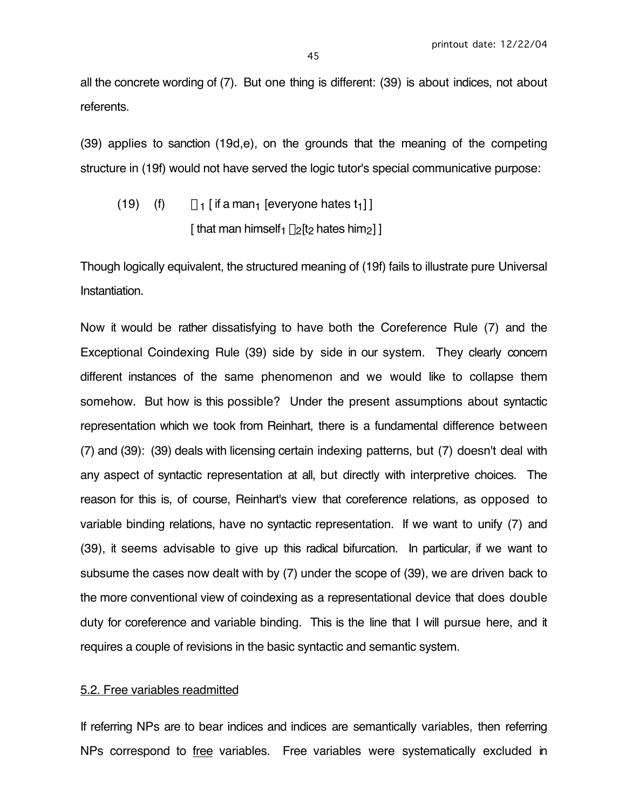all the concrete wording of (7). But one thing is different: (39) is about indices, not about referents.

(39) applies to sanction (19d,e), on the grounds that the meaning of the competing structure in (19f) would not have served the logic tutor's special communicative purpose:

(19) (f) 
$$
\forall_1
$$
 [ if a man<sub>1</sub> [everyone hates  $t_1$ ]]  
[ that man himself<sub>1</sub>  $\lambda_2$ [ $t_2$  hates him<sub>2</sub>]]

Though logically equivalent, the structured meaning of (19f) fails to illustrate pure Universal Instantiation.

Now it would be rather dissatisfying to have both the Coreference Rule (7) and the Exceptional Coindexing Rule (39) side by side in our system. They clearly concern different instances of the same phenomenon and we would like to collapse them somehow. But how is this possible? Under the present assumptions about syntactic representation which we took from Reinhart, there is a fundamental difference between (7) and (39): (39) deals with licensing certain indexing patterns, but (7) doesn't deal with any aspect of syntactic representation at all, but directly with interpretive choices. The reason for this is, of course, Reinhart's view that coreference relations, as opposed to variable binding relations, have no syntactic representation. If we want to unify (7) and (39), it seems advisable to give up this radical bifurcation. In particular, if we want to subsume the cases now dealt with by (7) under the scope of (39), we are driven back to the more conventional view of coindexing as a representational device that does double duty for coreference and variable binding. This is the line that I will pursue here, and it requires a couple of revisions in the basic syntactic and semantic system.

### 5.2. Free variables readmitted

If referring NPs are to bear indices and indices are semantically variables, then referring NPs correspond to free variables. Free variables were systematically excluded in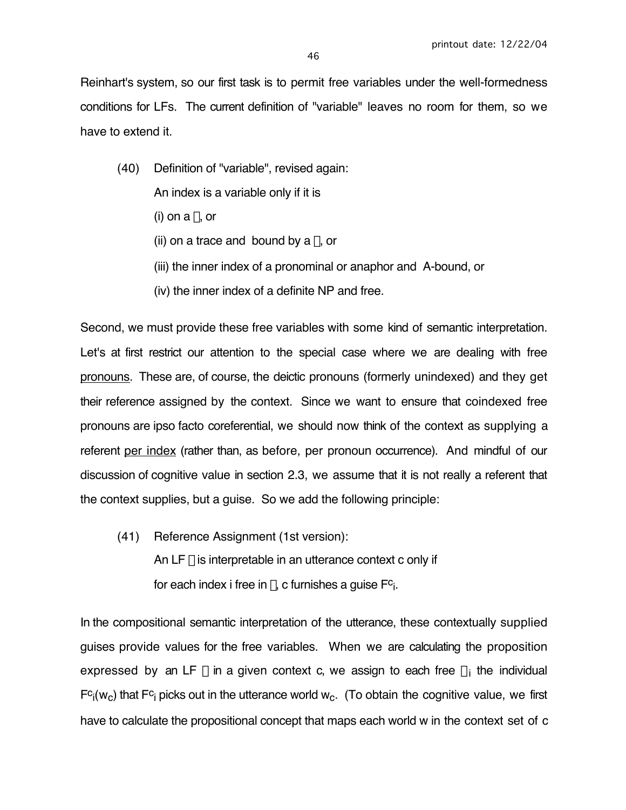Reinhart's system, so our first task is to permit free variables under the well-formedness conditions for LFs. The current definition of "variable" leaves no room for them, so we have to extend it.

(40) Definition of "variable", revised again:

An index is a variable only if it is

- (i) on a  $\lambda$ , or
- (ii) on a trace and bound by a  $\lambda$ , or
- (iii) the inner index of a pronominal or anaphor and A-bound, or
- (iv) the inner index of a definite NP and free.

Second, we must provide these free variables with some kind of semantic interpretation. Let's at first restrict our attention to the special case where we are dealing with free pronouns. These are, of course, the deictic pronouns (formerly unindexed) and they get their reference assigned by the context. Since we want to ensure that coindexed free pronouns are ipso facto coreferential, we should now think of the context as supplying a referent per index (rather than, as before, per pronoun occurrence). And mindful of our discussion of cognitive value in section 2.3, we assume that it is not really a referent that the context supplies, but a guise. So we add the following principle:

(41) Reference Assignment (1st version): An LF  $\phi$  is interpretable in an utterance context c only if for each index i free in  $\phi$ , c furnishes a guise  $F^c$ .

In the compositional semantic interpretation of the utterance, these contextually supplied guises provide values for the free variables. When we are calculating the proposition expressed by an LF  $\phi$  in a given context c, we assign to each free  $\alpha_i$  the individual  $Fc_i(w_c)$  that  $Fc_i$  picks out in the utterance world  $w_c$ . (To obtain the cognitive value, we first have to calculate the propositional concept that maps each world w in the context set of c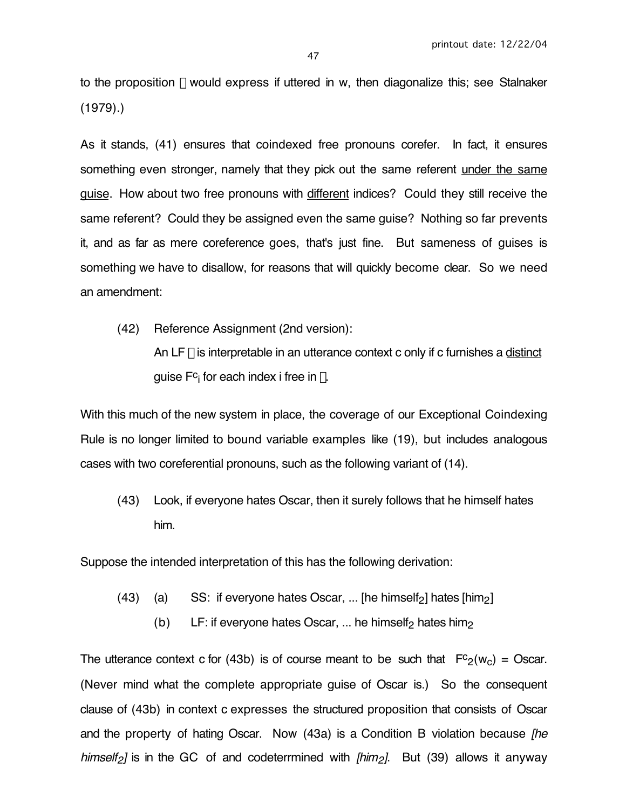to the proposition  $\phi$  would express if uttered in w, then diagonalize this; see Stalnaker (1979).)

As it stands, (41) ensures that coindexed free pronouns corefer. In fact, it ensures something even stronger, namely that they pick out the same referent under the same guise. How about two free pronouns with different indices? Could they still receive the same referent? Could they be assigned even the same guise? Nothing so far prevents it, and as far as mere coreference goes, that's just fine. But sameness of guises is something we have to disallow, for reasons that will quickly become clear. So we need an amendment:

(42) Reference Assignment (2nd version):

An LF  $\phi$  is interpretable in an utterance context c only if c furnishes a distinct quise  $F_c$  for each index i free in  $\phi$ .

With this much of the new system in place, the coverage of our Exceptional Coindexing Rule is no longer limited to bound variable examples like (19), but includes analogous cases with two coreferential pronouns, such as the following variant of (14).

(43) Look, if everyone hates Oscar, then it surely follows that he himself hates him.

Suppose the intended interpretation of this has the following derivation:

- (43) (a) SS: if everyone hates Oscar, ... [he himself<sub>2</sub>] hates [him<sub>2</sub>]
	- (b) LF: if everyone hates Oscar, ... he himself<sub>2</sub> hates him<sub>2</sub>

The utterance context c for (43b) is of course meant to be such that  $Fc_2(w_c) =$  Oscar. (Never mind what the complete appropriate guise of Oscar is.) So the consequent clause of (43b) in context c expresses the structured proposition that consists of Oscar and the property of hating Oscar. Now (43a) is a Condition B violation because *[he* himself<sub>2</sub>] is in the GC of and codeterrmined with  $|h/m_2|$ . But (39) allows it anyway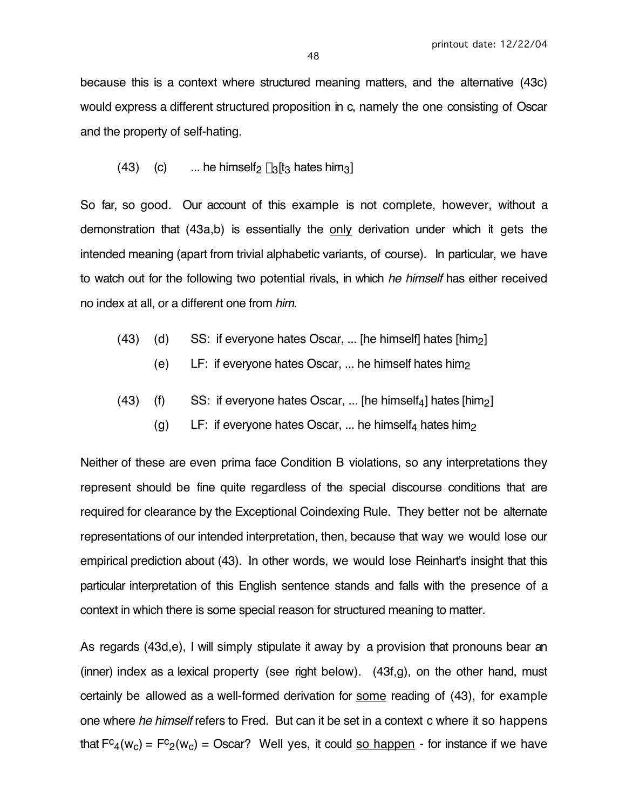because this is a context where structured meaning matters, and the alternative (43c) would express a different structured proposition in c, namely the one consisting of Oscar and the property of self-hating.

(43) (c) ... he himself<sub>2</sub>  $\lambda_3$ [t<sub>3</sub> hates him<sub>3</sub>]

So far, so good. Our account of this example is not complete, however, without a demonstration that (43a,b) is essentially the only derivation under which it gets the intended meaning (apart from trivial alphabetic variants, of course). In particular, we have to watch out for the following two potential rivals, in which he himself has either received no index at all, or a different one from him.

- $(43)$  (d) SS: if everyone hates Oscar, ... [he himself] hates [him<sub>2</sub>]
	- (e)  $LF:$  if everyone hates Oscar, ... he himself hates him<sub>2</sub>
- (43) (f) SS: if everyone hates Oscar, ... [he himself<sub>4</sub>] hates  $[\text{him}_2]$ 
	- (g) LF: if everyone hates Oscar, ... he himself<sub>4</sub> hates him<sub>2</sub>

Neither of these are even prima face Condition B violations, so any interpretations they represent should be fine quite regardless of the special discourse conditions that are required for clearance by the Exceptional Coindexing Rule. They better not be alternate representations of our intended interpretation, then, because that way we would lose our empirical prediction about (43). In other words, we would lose Reinhart's insight that this particular interpretation of this English sentence stands and falls with the presence of a context in which there is some special reason for structured meaning to matter.

As regards (43d,e), I will simply stipulate it away by a provision that pronouns bear an (inner) index as a lexical property (see right below). (43f,g), on the other hand, must certainly be allowed as a well-formed derivation for some reading of (43), for example one where he himself refers to Fred. But can it be set in a context c where it so happens that  $Fc_4(w_c) = Fc_2(w_c) = Oscar$ ? Well yes, it could so happen - for instance if we have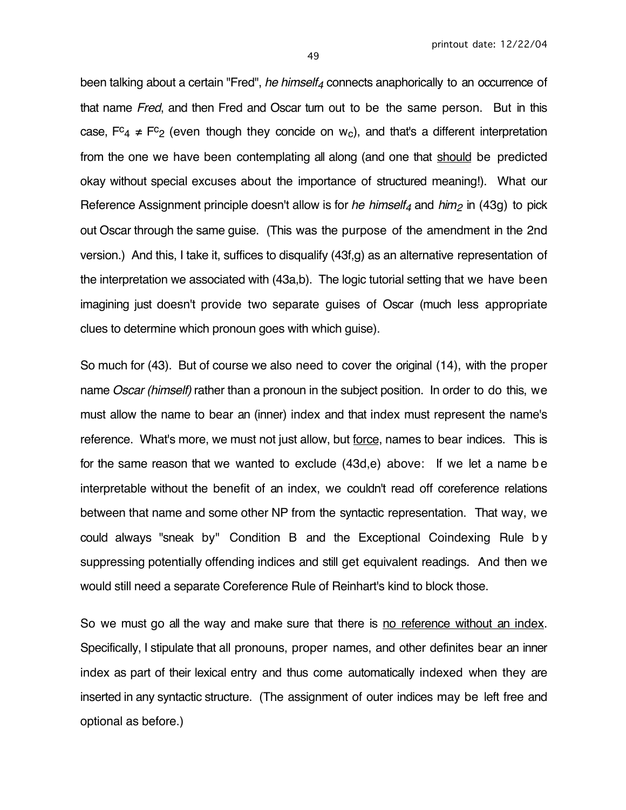been talking about a certain "Fred", he himself<sub>4</sub> connects anaphorically to an occurrence of that name Fred, and then Fred and Oscar turn out to be the same person. But in this case,  $Fc_4 \neq Fc_2$  (even though they concide on w<sub>c</sub>), and that's a different interpretation from the one we have been contemplating all along (and one that should be predicted okay without special excuses about the importance of structured meaning!). What our Reference Assignment principle doesn't allow is for he himself<sub>4</sub> and him<sub>2</sub> in (43g) to pick out Oscar through the same guise. (This was the purpose of the amendment in the 2nd version.) And this, I take it, suffices to disqualify (43f,g) as an alternative representation of the interpretation we associated with (43a,b). The logic tutorial setting that we have been

imagining just doesn't provide two separate guises of Oscar (much less appropriate clues to determine which pronoun goes with which guise).

So much for (43). But of course we also need to cover the original (14), with the proper name *Oscar (himself)* rather than a pronoun in the subject position. In order to do this, we must allow the name to bear an (inner) index and that index must represent the name's reference. What's more, we must not just allow, but force, names to bear indices. This is for the same reason that we wanted to exclude (43d,e) above: If we let a name be interpretable without the benefit of an index, we couldn't read off coreference relations between that name and some other NP from the syntactic representation. That way, we could always "sneak by" Condition B and the Exceptional Coindexing Rule b y suppressing potentially offending indices and still get equivalent readings. And then we would still need a separate Coreference Rule of Reinhart's kind to block those.

So we must go all the way and make sure that there is no reference without an index. Specifically, I stipulate that all pronouns, proper names, and other definites bear an inner index as part of their lexical entry and thus come automatically indexed when they are inserted in any syntactic structure. (The assignment of outer indices may be left free and optional as before.)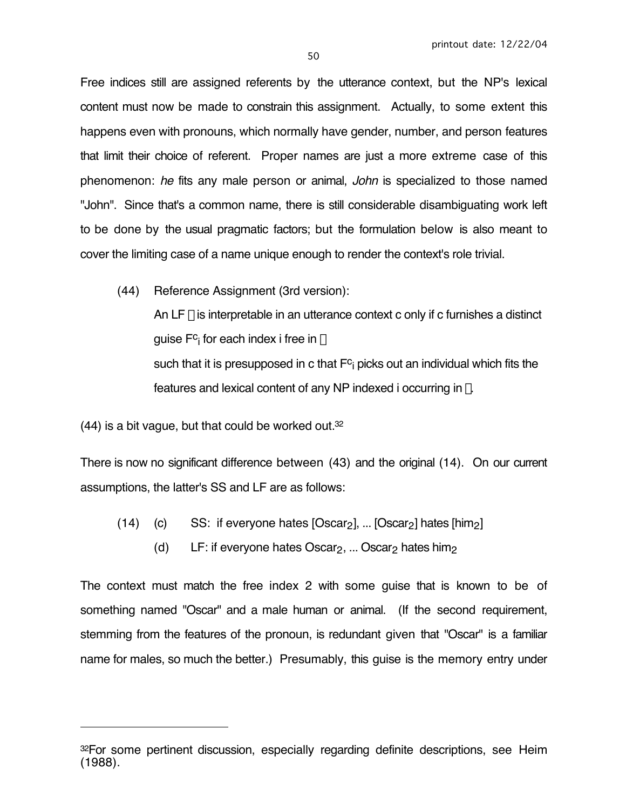Free indices still are assigned referents by the utterance context, but the NP's lexical content must now be made to constrain this assignment. Actually, to some extent this happens even with pronouns, which normally have gender, number, and person features that limit their choice of referent. Proper names are just a more extreme case of this phenomenon: he fits any male person or animal, John is specialized to those named "John". Since that's a common name, there is still considerable disambiguating work left to be done by the usual pragmatic factors; but the formulation below is also meant to cover the limiting case of a name unique enough to render the context's role trivial.

(44) Reference Assignment (3rd version): An LF  $\phi$  is interpretable in an utterance context c only if c furnishes a distinct guise F<sup>c</sup>i for each index i free in  $\phi$ such that it is presupposed in c that  $F_c$  picks out an individual which fits the features and lexical content of any NP indexed i occurring in  $\phi$ .

(44) is a bit vague, but that could be worked out.32

 $\overline{a}$ 

There is now no significant difference between (43) and the original (14). On our current assumptions, the latter's SS and LF are as follows:

- (14) (c) SS: if everyone hates  $[Oscar<sub>2</sub>]$ , ...  $[Oscar<sub>2</sub>]$  hates  $[him<sub>2</sub>]$ 
	- (d) LF: if everyone hates Oscar<sub>2</sub>, ... Oscar<sub>2</sub> hates him<sub>2</sub>

The context must match the free index 2 with some guise that is known to be of something named "Oscar" and a male human or animal. (If the second requirement, stemming from the features of the pronoun, is redundant given that "Oscar" is a familiar name for males, so much the better.) Presumably, this guise is the memory entry under

<sup>32</sup>For some pertinent discussion, especially regarding definite descriptions, see Heim (1988).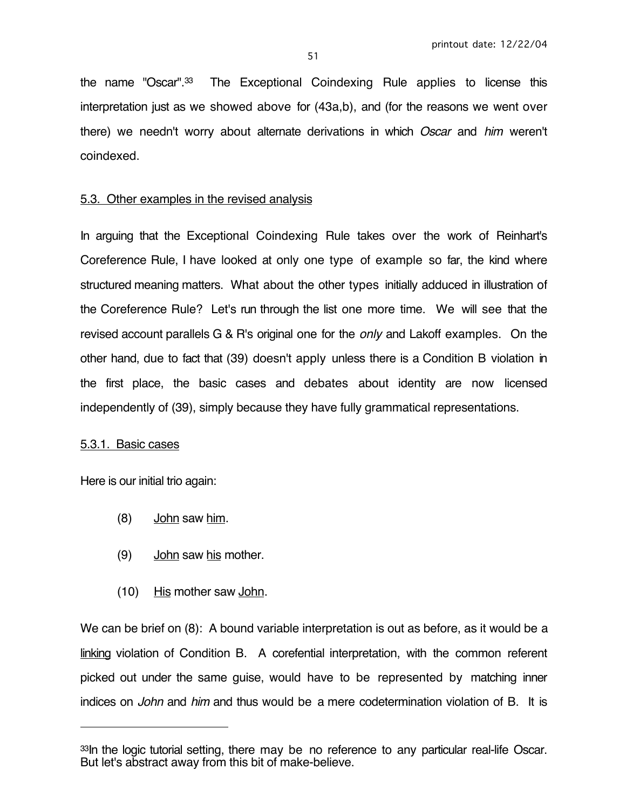the name "Oscar".33 The Exceptional Coindexing Rule applies to license this interpretation just as we showed above for (43a,b), and (for the reasons we went over there) we needn't worry about alternate derivations in which Oscar and him weren't coindexed.

## 5.3. Other examples in the revised analysis

In arguing that the Exceptional Coindexing Rule takes over the work of Reinhart's Coreference Rule, I have looked at only one type of example so far, the kind where structured meaning matters. What about the other types initially adduced in illustration of the Coreference Rule? Let's run through the list one more time. We will see that the revised account parallels G & R's original one for the *only* and Lakoff examples. On the other hand, due to fact that (39) doesn't apply unless there is a Condition B violation in the first place, the basic cases and debates about identity are now licensed independently of (39), simply because they have fully grammatical representations.

#### 5.3.1. Basic cases

 $\overline{a}$ 

Here is our initial trio again:

- (8) John saw him.
- (9) John saw his mother.
- (10) His mother saw John.

We can be brief on (8): A bound variable interpretation is out as before, as it would be a linking violation of Condition B. A corefential interpretation, with the common referent picked out under the same guise, would have to be represented by matching inner indices on John and him and thus would be a mere codetermination violation of B. It is

<sup>&</sup>lt;sup>33</sup>In the logic tutorial setting, there may be no reference to any particular real-life Oscar. But let's abstract away from this bit of make-believe.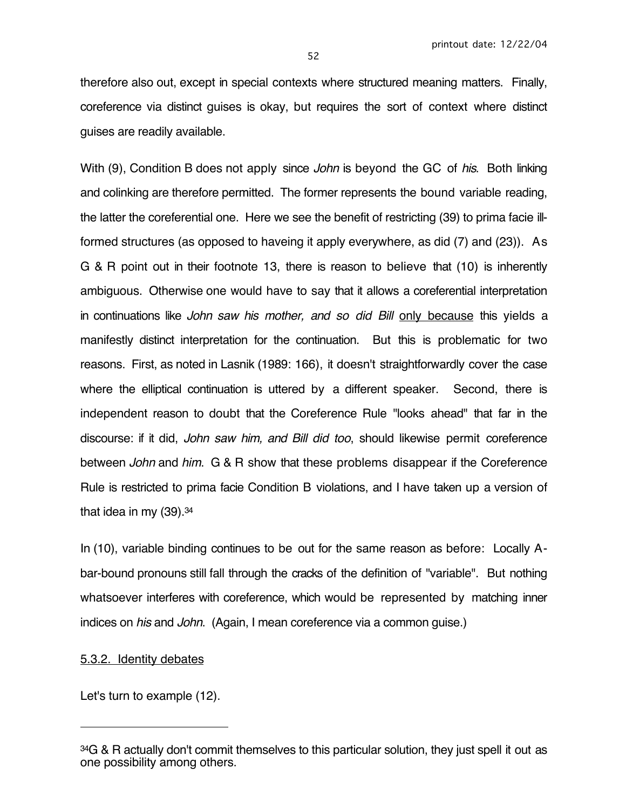therefore also out, except in special contexts where structured meaning matters. Finally, coreference via distinct guises is okay, but requires the sort of context where distinct guises are readily available.

With (9), Condition B does not apply since John is beyond the GC of his. Both linking and colinking are therefore permitted. The former represents the bound variable reading, the latter the coreferential one. Here we see the benefit of restricting (39) to prima facie illformed structures (as opposed to haveing it apply everywhere, as did (7) and (23)). As G & R point out in their footnote 13, there is reason to believe that (10) is inherently ambiguous. Otherwise one would have to say that it allows a coreferential interpretation in continuations like John saw his mother, and so did Bill only because this yields a manifestly distinct interpretation for the continuation. But this is problematic for two reasons. First, as noted in Lasnik (1989: 166), it doesn't straightforwardly cover the case where the elliptical continuation is uttered by a different speaker. Second, there is independent reason to doubt that the Coreference Rule "looks ahead" that far in the discourse: if it did, John saw him, and Bill did too, should likewise permit coreference between John and him. G & R show that these problems disappear if the Coreference Rule is restricted to prima facie Condition B violations, and I have taken up a version of that idea in my  $(39)$ .  $34$ 

In (10), variable binding continues to be out for the same reason as before: Locally Abar-bound pronouns still fall through the cracks of the definition of "variable". But nothing whatsoever interferes with coreference, which would be represented by matching inner indices on *his* and *John.* (Again, I mean coreference via a common guise.)

#### 5.3.2. Identity debates

 $\overline{a}$ 

Let's turn to example (12).

<sup>&</sup>lt;sup>34</sup>G & R actually don't commit themselves to this particular solution, they just spell it out as one possibility among others.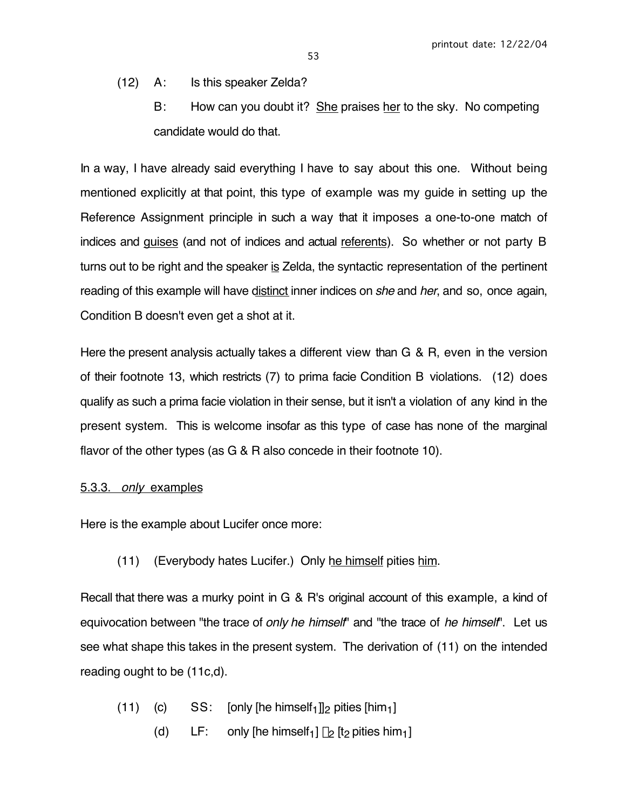53

- (12) A: Is this speaker Zelda?
	- B: How can you doubt it? She praises her to the sky. No competing candidate would do that.

In a way, I have already said everything I have to say about this one. Without being mentioned explicitly at that point, this type of example was my guide in setting up the Reference Assignment principle in such a way that it imposes a one-to-one match of indices and guises (and not of indices and actual referents). So whether or not party B turns out to be right and the speaker is Zelda, the syntactic representation of the pertinent reading of this example will have distinct inner indices on *she* and *her*, and so, once again, Condition B doesn't even get a shot at it.

Here the present analysis actually takes a different view than G & R, even in the version of their footnote 13, which restricts (7) to prima facie Condition B violations. (12) does qualify as such a prima facie violation in their sense, but it isn't a violation of any kind in the present system. This is welcome insofar as this type of case has none of the marginal flavor of the other types (as G & R also concede in their footnote 10).

## 5.3.3. only examples

Here is the example about Lucifer once more:

(11) (Everybody hates Lucifer.) Only he himself pities him.

Recall that there was a murky point in G & R's original account of this example, a kind of equivocation between "the trace of only he himself" and "the trace of he himself". Let us see what shape this takes in the present system. The derivation of (11) on the intended reading ought to be (11c,d).

- (11) (c)  $SS:$  [only [he himself<sub>1</sub>]]<sub>2</sub> pities [him<sub>1</sub>]
	- (d) LF: only [he himself<sub>1</sub>]  $\lambda$ <sub>2</sub> [t<sub>2</sub> pities him<sub>1</sub>]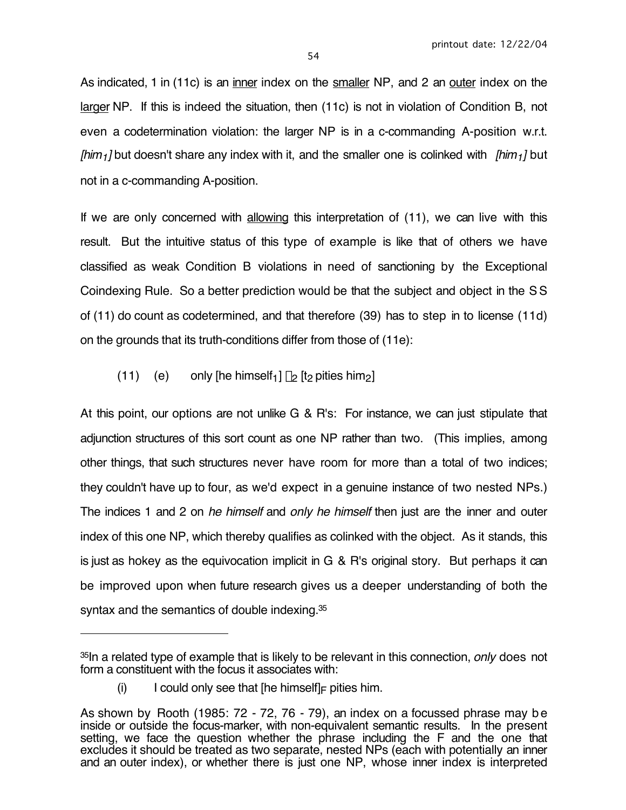As indicated, 1 in (11c) is an inner index on the smaller NP, and 2 an outer index on the larger NP. If this is indeed the situation, then (11c) is not in violation of Condition B, not even a codetermination violation: the larger NP is in a c-commanding A-position w.r.t.  $\lim_{1}$  but doesn't share any index with it, and the smaller one is colinked with  $\lim_{1}$  but not in a c-commanding A-position.

If we are only concerned with allowing this interpretation of (11), we can live with this result. But the intuitive status of this type of example is like that of others we have classified as weak Condition B violations in need of sanctioning by the Exceptional Coindexing Rule. So a better prediction would be that the subject and object in the S S of (11) do count as codetermined, and that therefore (39) has to step in to license (11d) on the grounds that its truth-conditions differ from those of (11e):

(11) (e) only [he himself<sub>1</sub>]  $\lambda_2$  [t<sub>2</sub> pities him<sub>2</sub>]

At this point, our options are not unlike G & R's: For instance, we can just stipulate that adjunction structures of this sort count as one NP rather than two. (This implies, among other things, that such structures never have room for more than a total of two indices; they couldn't have up to four, as we'd expect in a genuine instance of two nested NPs.) The indices 1 and 2 on he himself and only he himself then just are the inner and outer index of this one NP, which thereby qualifies as colinked with the object. As it stands, this is just as hokey as the equivocation implicit in G & R's original story. But perhaps it can be improved upon when future research gives us a deeper understanding of both the syntax and the semantics of double indexing.35

 $\overline{a}$ 

<sup>&</sup>lt;sup>35</sup>In a related type of example that is likely to be relevant in this connection, *only* does not form a constituent with the focus it associates with:

<sup>(</sup>i) I could only see that [he himself]  $\models$  pities him.

As shown by Rooth (1985: 72 - 72, 76 - 79), an index on a focussed phrase may be inside or outside the focus-marker, with non-equivalent semantic results. In the present setting, we face the question whether the phrase including the F and the one that excludes it should be treated as two separate, nested NPs (each with potentially an inner and an outer index), or whether there is just one NP, whose inner index is interpreted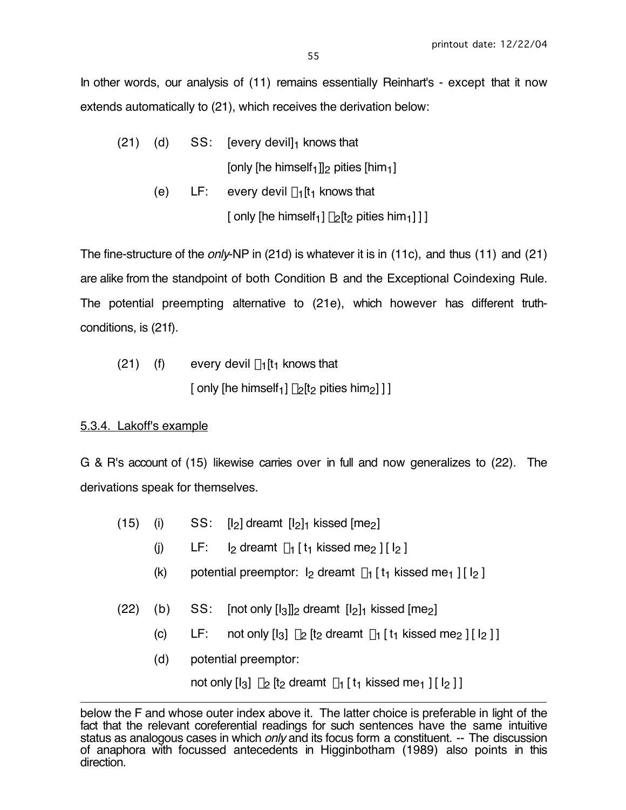In other words, our analysis of (11) remains essentially Reinhart's - except that it now extends automatically to (21), which receives the derivation below:

| (21) |  | (d) $SS:$ [every devil] knows that                                                                                                                                                                                                   |
|------|--|--------------------------------------------------------------------------------------------------------------------------------------------------------------------------------------------------------------------------------------|
|      |  | [only [he himself <sub>1</sub> ]] <sub>2</sub> pities [him <sub>1</sub> ]                                                                                                                                                            |
|      |  | $\blacksquare$ . The state of the state of the state of the state of the state of the state of the state of the state of the state of the state of the state of the state of the state of the state of the state of the state of the |

(e) LF: every devil  $\lambda_1$ [t<sub>1</sub> knows that  $\int$  only [he himself<sub>1</sub>]  $\lambda$ <sub>2</sub>[t<sub>2</sub> pities him<sub>1</sub>] ] ]

The fine-structure of the *only*-NP in (21d) is whatever it is in (11c), and thus (11) and (21) are alike from the standpoint of both Condition B and the Exceptional Coindexing Rule. The potential preempting alternative to (21e), which however has different truthconditions, is (21f).

(21) (f) every devil 
$$
\lambda_1[t_1]
$$
 knows that  
[ only [he himself<sub>1</sub>]  $\lambda_2[t_2$  pities him<sub>2</sub>]]]

# 5.3.4. Lakoff's example

G & R's account of (15) likewise carries over in full and now generalizes to (22). The derivations speak for themselves.

- (15) (i)  $SS: [I_2]$  dreamt  $[I_2]_1$  kissed  $[me_2]$ 
	- (i) LF:  $\vert \rho \vert$  dreamt  $\lambda_1$  [ t<sub>1</sub> kissed me<sub>2</sub> ] [  $\vert \rho \vert$ ]
	- (k) potential preemptor:  $I_2$  dreamt  $\lambda_1$  [ t<sub>1</sub> kissed me<sub>1</sub> ] [  $I_2$  ]
- (22) (b) SS:  $[not only [l_3]]_2$  dreamt  $[l_2]_1$  kissed  $[me_2]$ 
	- (c) LF: not only  $\begin{bmatrix} 1_3 \\ 2 \end{bmatrix}$  is dreamt  $\lambda_1$  [  $t_1$  kissed me<sub>2</sub> ] [  $\begin{bmatrix} 1_2 \\ 1 \end{bmatrix}$ ]
	- (d) potential preemptor:

not only  $\begin{bmatrix} 1_3 \\ 2 \end{bmatrix}$   $\lambda_2$   $\begin{bmatrix} t_2 \end{bmatrix}$  dreamt  $\lambda_1$   $\begin{bmatrix} t_1 \end{bmatrix}$  kissed me<sub>1</sub>  $\begin{bmatrix} 1 \\ 2 \end{bmatrix}$ 

 $\overline{a}$ below the F and whose outer index above it. The latter choice is preferable in light of the fact that the relevant coreferential readings for such sentences have the same intuitive status as analogous cases in which only and its focus form a constituent. -- The discussion of anaphora with focussed antecedents in Higginbotham (1989) also points in this direction.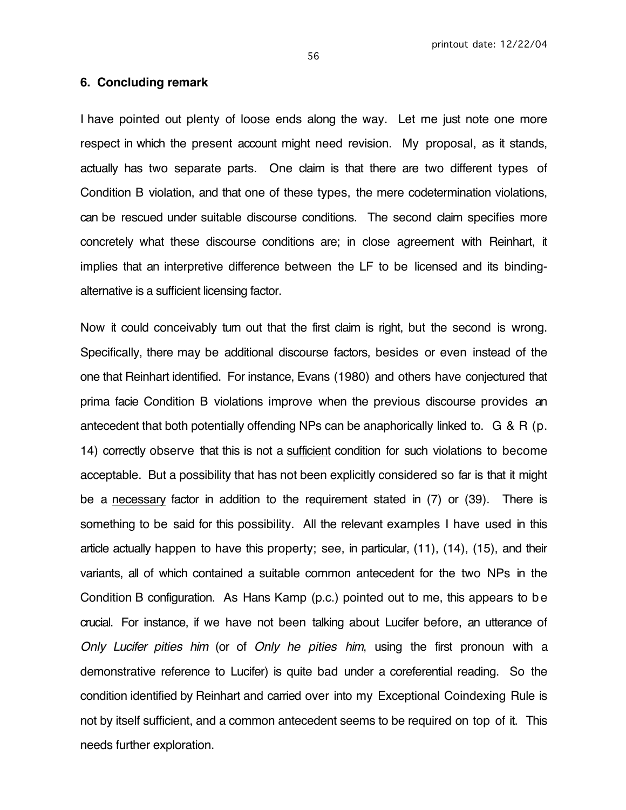#### **6. Concluding remark**

I have pointed out plenty of loose ends along the way. Let me just note one more respect in which the present account might need revision. My proposal, as it stands, actually has two separate parts. One claim is that there are two different types of Condition B violation, and that one of these types, the mere codetermination violations, can be rescued under suitable discourse conditions. The second claim specifies more concretely what these discourse conditions are; in close agreement with Reinhart, it implies that an interpretive difference between the LF to be licensed and its bindingalternative is a sufficient licensing factor.

Now it could conceivably turn out that the first claim is right, but the second is wrong. Specifically, there may be additional discourse factors, besides or even instead of the one that Reinhart identified. For instance, Evans (1980) and others have conjectured that prima facie Condition B violations improve when the previous discourse provides an antecedent that both potentially offending NPs can be anaphorically linked to. G & R (p. 14) correctly observe that this is not a sufficient condition for such violations to become acceptable. But a possibility that has not been explicitly considered so far is that it might be a necessary factor in addition to the requirement stated in (7) or (39). There is something to be said for this possibility. All the relevant examples I have used in this article actually happen to have this property; see, in particular, (11), (14), (15), and their variants, all of which contained a suitable common antecedent for the two NPs in the Condition B configuration. As Hans Kamp (p.c.) pointed out to me, this appears to be crucial. For instance, if we have not been talking about Lucifer before, an utterance of Only Lucifer pities him (or of Only he pities him, using the first pronoun with a demonstrative reference to Lucifer) is quite bad under a coreferential reading. So the condition identified by Reinhart and carried over into my Exceptional Coindexing Rule is not by itself sufficient, and a common antecedent seems to be required on top of it. This needs further exploration.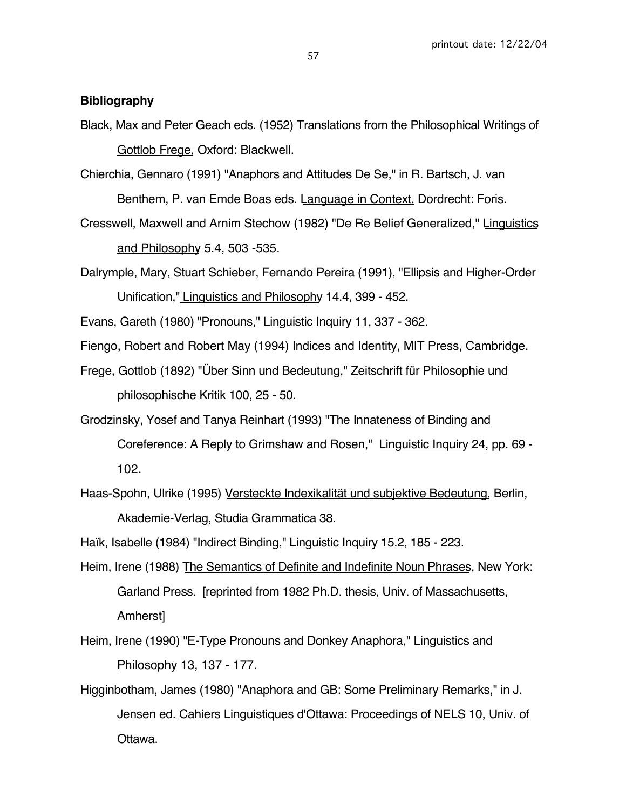## **Bibliography**

- Black, Max and Peter Geach eds. (1952) Translations from the Philosophical Writings of Gottlob Frege, Oxford: Blackwell.
- Chierchia, Gennaro (1991) "Anaphors and Attitudes De Se," in R. Bartsch, J. van Benthem, P. van Emde Boas eds. Language in Context, Dordrecht: Foris.
- Cresswell, Maxwell and Arnim Stechow (1982) "De Re Belief Generalized," Linguistics and Philosophy 5.4, 503 -535.
- Dalrymple, Mary, Stuart Schieber, Fernando Pereira (1991), "Ellipsis and Higher-Order Unification," Linguistics and Philosophy 14.4, 399 - 452.
- Evans, Gareth (1980) "Pronouns," Linguistic Inquiry 11, 337 362.
- Fiengo, Robert and Robert May (1994) Indices and Identity, MIT Press, Cambridge.
- Frege, Gottlob (1892) "Über Sinn und Bedeutung," Zeitschrift für Philosophie und philosophische Kritik 100, 25 - 50.
- Grodzinsky, Yosef and Tanya Reinhart (1993) "The Innateness of Binding and Coreference: A Reply to Grimshaw and Rosen," Linguistic Inquiry 24, pp. 69 - 102.
- Haas-Spohn, Ulrike (1995) Versteckte Indexikalität und subjektive Bedeutung, Berlin, Akademie-Verlag, Studia Grammatica 38.
- Haïk, Isabelle (1984) "Indirect Binding," Linguistic Inquiry 15.2, 185 223.
- Heim, Irene (1988) The Semantics of Definite and Indefinite Noun Phrases, New York: Garland Press. [reprinted from 1982 Ph.D. thesis, Univ. of Massachusetts, Amherst]
- Heim, Irene (1990) "E-Type Pronouns and Donkey Anaphora," Linguistics and Philosophy 13, 137 - 177.
- Higginbotham, James (1980) "Anaphora and GB: Some Preliminary Remarks," in J. Jensen ed. Cahiers Linguistiques d'Ottawa: Proceedings of NELS 10, Univ. of Ottawa.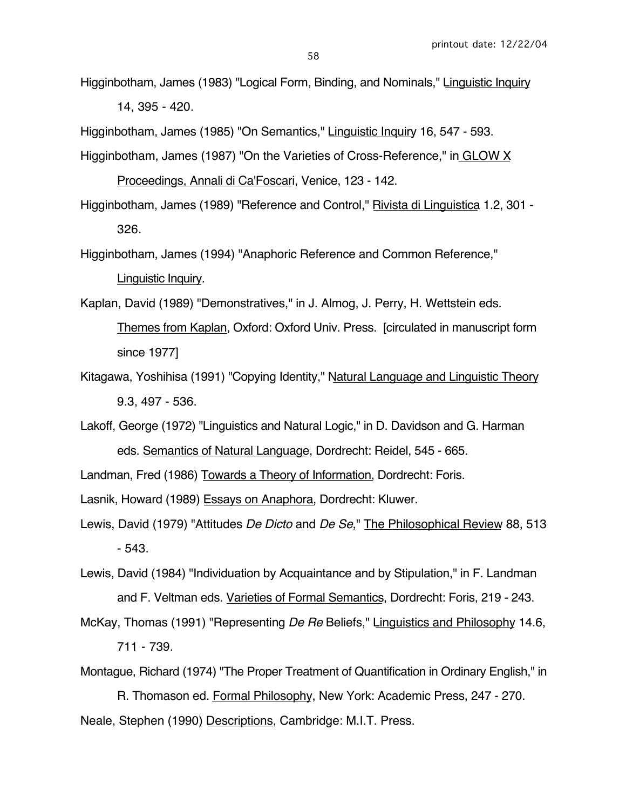14, 395 - 420.

Higginbotham, James (1985) "On Semantics," Linguistic Inquiry 16, 547 - 593.

- Higginbotham, James (1987) "On the Varieties of Cross-Reference," in GLOW X Proceedings, Annali di Ca'Foscari, Venice, 123 - 142.
- Higginbotham, James (1989) "Reference and Control," Rivista di Linguistica 1.2, 301 326.
- Higginbotham, James (1994) "Anaphoric Reference and Common Reference," Linguistic Inquiry.
- Kaplan, David (1989) "Demonstratives," in J. Almog, J. Perry, H. Wettstein eds. Themes from Kaplan, Oxford: Oxford Univ. Press. [circulated in manuscript form since 1977]
- Kitagawa, Yoshihisa (1991) "Copying Identity," Natural Language and Linguistic Theory 9.3, 497 - 536.
- Lakoff, George (1972) "Linguistics and Natural Logic," in D. Davidson and G. Harman eds. Semantics of Natural Language, Dordrecht: Reidel, 545 - 665.
- Landman, Fred (1986) Towards a Theory of Information, Dordrecht: Foris.

Lasnik, Howard (1989) Essays on Anaphora, Dordrecht: Kluwer.

- Lewis, David (1979) "Attitudes De Dicto and De Se," The Philosophical Review 88, 513 - 543.
- Lewis, David (1984) "Individuation by Acquaintance and by Stipulation," in F. Landman and F. Veltman eds. Varieties of Formal Semantics, Dordrecht: Foris, 219 - 243.
- McKay, Thomas (1991) "Representing De Re Beliefs," Linguistics and Philosophy 14.6, 711 - 739.

Montague, Richard (1974) "The Proper Treatment of Quantification in Ordinary English," in

R. Thomason ed. Formal Philosophy, New York: Academic Press, 247 - 270. Neale, Stephen (1990) Descriptions, Cambridge: M.I.T. Press.